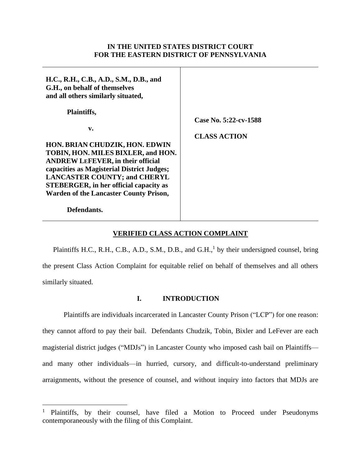### **IN THE UNITED STATES DISTRICT COURT FOR THE EASTERN DISTRICT OF PENNSYLVANIA**

| H.C., R.H., C.B., A.D., S.M., D.B., and<br>G.H., on behalf of themselves<br>and all others similarly situated,                     |                       |
|------------------------------------------------------------------------------------------------------------------------------------|-----------------------|
| Plaintiffs,                                                                                                                        | Case No. 5:22-cv-1588 |
| v.<br>HON. BRIAN CHUDZIK, HON. EDWIN<br>TOBIN, HON. MILES BIXLER, and HON.<br><b>ANDREW LEFEVER, in their official</b>             | <b>CLASS ACTION</b>   |
| capacities as Magisterial District Judges;<br><b>LANCASTER COUNTY; and CHERYL</b><br><b>STEBERGER, in her official capacity as</b> |                       |
| <b>Warden of the Lancaster County Prison,</b><br>Defendants.                                                                       |                       |

## **VERIFIED CLASS ACTION COMPLAINT**

Plaintiffs H.C., R.H., C.B., A.D., S.M., D.B., and  $G.H.,<sup>1</sup>$  by their undersigned counsel, bring the present Class Action Complaint for equitable relief on behalf of themselves and all others similarly situated.

### **I. INTRODUCTION**

Plaintiffs are individuals incarcerated in Lancaster County Prison ("LCP") for one reason: they cannot afford to pay their bail. Defendants Chudzik, Tobin, Bixler and LeFever are each magisterial district judges ("MDJs") in Lancaster County who imposed cash bail on Plaintiffs and many other individuals—in hurried, cursory, and difficult-to-understand preliminary arraignments, without the presence of counsel, and without inquiry into factors that MDJs are

<sup>&</sup>lt;sup>1</sup> Plaintiffs, by their counsel, have filed a Motion to Proceed under Pseudonyms contemporaneously with the filing of this Complaint.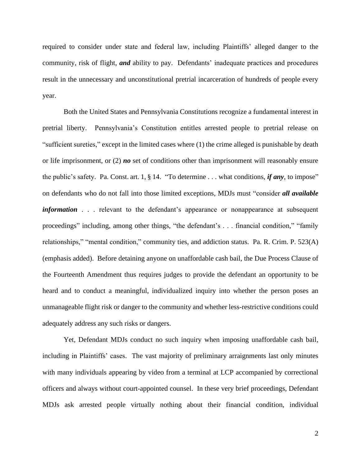required to consider under state and federal law, including Plaintiffs' alleged danger to the community, risk of flight, *and* ability to pay. Defendants' inadequate practices and procedures result in the unnecessary and unconstitutional pretrial incarceration of hundreds of people every year.

Both the United States and Pennsylvania Constitutions recognize a fundamental interest in pretrial liberty. Pennsylvania's Constitution entitles arrested people to pretrial release on "sufficient sureties," except in the limited cases where (1) the crime alleged is punishable by death or life imprisonment, or (2) *no* set of conditions other than imprisonment will reasonably ensure the public's safety. Pa. Const. art. 1, § 14. "To determine . . . what conditions, *if any*, to impose" on defendants who do not fall into those limited exceptions, MDJs must "consider *all available information* . . . relevant to the defendant's appearance or nonappearance at subsequent proceedings" including, among other things, "the defendant's . . . financial condition*,*" "family relationships," "mental condition," community ties, and addiction status. Pa. R. Crim. P. 523(A) (emphasis added). Before detaining anyone on unaffordable cash bail, the Due Process Clause of the Fourteenth Amendment thus requires judges to provide the defendant an opportunity to be heard and to conduct a meaningful, individualized inquiry into whether the person poses an unmanageable flight risk or danger to the community and whether less-restrictive conditions could adequately address any such risks or dangers.

Yet, Defendant MDJs conduct no such inquiry when imposing unaffordable cash bail, including in Plaintiffs' cases. The vast majority of preliminary arraignments last only minutes with many individuals appearing by video from a terminal at LCP accompanied by correctional officers and always without court-appointed counsel. In these very brief proceedings, Defendant MDJs ask arrested people virtually nothing about their financial condition, individual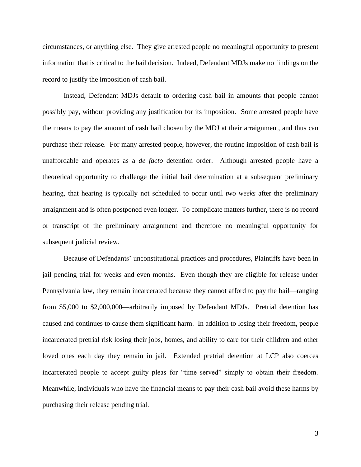circumstances, or anything else. They give arrested people no meaningful opportunity to present information that is critical to the bail decision. Indeed, Defendant MDJs make no findings on the record to justify the imposition of cash bail.

Instead, Defendant MDJs default to ordering cash bail in amounts that people cannot possibly pay, without providing any justification for its imposition. Some arrested people have the means to pay the amount of cash bail chosen by the MDJ at their arraignment, and thus can purchase their release. For many arrested people, however, the routine imposition of cash bail is unaffordable and operates as a *de facto* detention order. Although arrested people have a theoretical opportunity to challenge the initial bail determination at a subsequent preliminary hearing, that hearing is typically not scheduled to occur until *two weeks* after the preliminary arraignment and is often postponed even longer. To complicate matters further, there is no record or transcript of the preliminary arraignment and therefore no meaningful opportunity for subsequent judicial review.

Because of Defendants' unconstitutional practices and procedures, Plaintiffs have been in jail pending trial for weeks and even months. Even though they are eligible for release under Pennsylvania law, they remain incarcerated because they cannot afford to pay the bail—ranging from \$5,000 to \$2,000,000—arbitrarily imposed by Defendant MDJs. Pretrial detention has caused and continues to cause them significant harm. In addition to losing their freedom, people incarcerated pretrial risk losing their jobs, homes, and ability to care for their children and other loved ones each day they remain in jail. Extended pretrial detention at LCP also coerces incarcerated people to accept guilty pleas for "time served" simply to obtain their freedom. Meanwhile, individuals who have the financial means to pay their cash bail avoid these harms by purchasing their release pending trial.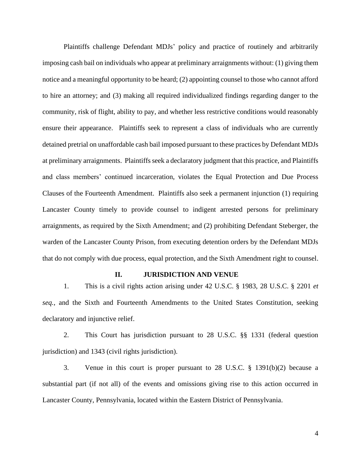Plaintiffs challenge Defendant MDJs' policy and practice of routinely and arbitrarily imposing cash bail on individuals who appear at preliminary arraignments without: (1) giving them notice and a meaningful opportunity to be heard; (2) appointing counsel to those who cannot afford to hire an attorney; and (3) making all required individualized findings regarding danger to the community, risk of flight, ability to pay, and whether less restrictive conditions would reasonably ensure their appearance. Plaintiffs seek to represent a class of individuals who are currently detained pretrial on unaffordable cash bail imposed pursuant to these practices by Defendant MDJs at preliminary arraignments. Plaintiffs seek a declaratory judgment that this practice, and Plaintiffs and class members' continued incarceration, violates the Equal Protection and Due Process Clauses of the Fourteenth Amendment. Plaintiffs also seek a permanent injunction (1) requiring Lancaster County timely to provide counsel to indigent arrested persons for preliminary arraignments, as required by the Sixth Amendment; and (2) prohibiting Defendant Steberger, the warden of the Lancaster County Prison, from executing detention orders by the Defendant MDJs that do not comply with due process, equal protection, and the Sixth Amendment right to counsel.

#### **II. JURISDICTION AND VENUE**

1. This is a civil rights action arising under 42 U.S.C. § 1983, 28 U.S.C. § 2201 *et seq.*, and the Sixth and Fourteenth Amendments to the United States Constitution, seeking declaratory and injunctive relief.

2. This Court has jurisdiction pursuant to 28 U.S.C. §§ 1331 (federal question jurisdiction) and 1343 (civil rights jurisdiction).

3. Venue in this court is proper pursuant to 28 U.S.C. § 1391(b)(2) because a substantial part (if not all) of the events and omissions giving rise to this action occurred in Lancaster County, Pennsylvania, located within the Eastern District of Pennsylvania.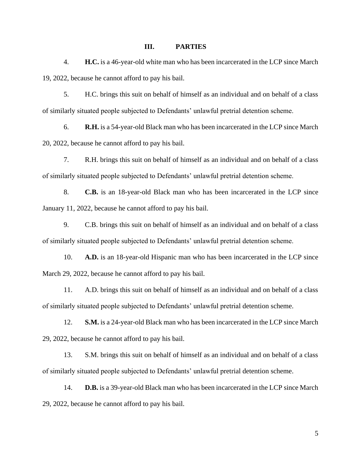#### **III. PARTIES**

4. **H.C.** is a 46-year-old white man who has been incarcerated in the LCP since March 19, 2022, because he cannot afford to pay his bail.

5. H.C. brings this suit on behalf of himself as an individual and on behalf of a class of similarly situated people subjected to Defendants' unlawful pretrial detention scheme.

6. **R.H.** is a 54-year-old Black man who has been incarcerated in the LCP since March 20, 2022, because he cannot afford to pay his bail.

7. R.H. brings this suit on behalf of himself as an individual and on behalf of a class of similarly situated people subjected to Defendants' unlawful pretrial detention scheme.

8. **C.B.** is an 18-year-old Black man who has been incarcerated in the LCP since January 11, 2022, because he cannot afford to pay his bail.

9. C.B. brings this suit on behalf of himself as an individual and on behalf of a class of similarly situated people subjected to Defendants' unlawful pretrial detention scheme.

10. **A.D.** is an 18-year-old Hispanic man who has been incarcerated in the LCP since March 29, 2022, because he cannot afford to pay his bail.

11. A.D. brings this suit on behalf of himself as an individual and on behalf of a class of similarly situated people subjected to Defendants' unlawful pretrial detention scheme.

12. **S.M.** is a 24-year-old Black man who has been incarcerated in the LCP since March 29, 2022, because he cannot afford to pay his bail.

13. S.M. brings this suit on behalf of himself as an individual and on behalf of a class of similarly situated people subjected to Defendants' unlawful pretrial detention scheme.

14. **D.B.** is a 39-year-old Black man who has been incarcerated in the LCP since March 29, 2022, because he cannot afford to pay his bail.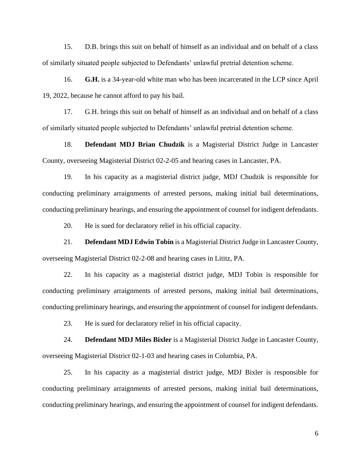15. D.B. brings this suit on behalf of himself as an individual and on behalf of a class of similarly situated people subjected to Defendants' unlawful pretrial detention scheme.

16. **G.H.** is a 34-year-old white man who has been incarcerated in the LCP since April 19, 2022, because he cannot afford to pay his bail.

17. G.H. brings this suit on behalf of himself as an individual and on behalf of a class of similarly situated people subjected to Defendants' unlawful pretrial detention scheme.

18. **Defendant MDJ Brian Chudzik** is a Magisterial District Judge in Lancaster County, overseeing Magisterial District 02-2-05 and hearing cases in Lancaster, PA.

19. In his capacity as a magisterial district judge, MDJ Chudzik is responsible for conducting preliminary arraignments of arrested persons, making initial bail determinations, conducting preliminary hearings, and ensuring the appointment of counsel for indigent defendants.

20. He is sued for declaratory relief in his official capacity.

21. **Defendant MDJ Edwin Tobin** is a Magisterial District Judge in Lancaster County, overseeing Magisterial District 02-2-08 and hearing cases in Lititz, PA.

22. In his capacity as a magisterial district judge, MDJ Tobin is responsible for conducting preliminary arraignments of arrested persons, making initial bail determinations, conducting preliminary hearings, and ensuring the appointment of counsel for indigent defendants.

23. He is sued for declaratory relief in his official capacity.

24. **Defendant MDJ Miles Bixler** is a Magisterial District Judge in Lancaster County, overseeing Magisterial District 02-1-03 and hearing cases in Columbia, PA.

25. In his capacity as a magisterial district judge, MDJ Bixler is responsible for conducting preliminary arraignments of arrested persons, making initial bail determinations, conducting preliminary hearings, and ensuring the appointment of counsel for indigent defendants.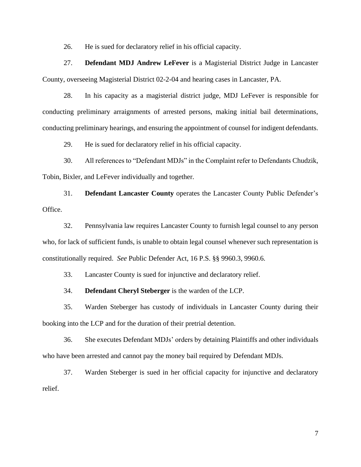26. He is sued for declaratory relief in his official capacity.

27. **Defendant MDJ Andrew LeFever** is a Magisterial District Judge in Lancaster County, overseeing Magisterial District 02-2-04 and hearing cases in Lancaster, PA.

28. In his capacity as a magisterial district judge, MDJ LeFever is responsible for conducting preliminary arraignments of arrested persons, making initial bail determinations, conducting preliminary hearings, and ensuring the appointment of counsel for indigent defendants.

29. He is sued for declaratory relief in his official capacity.

30. All references to "Defendant MDJs" in the Complaint refer to Defendants Chudzik, Tobin, Bixler, and LeFever individually and together.

31. **Defendant Lancaster County** operates the Lancaster County Public Defender's Office.

32. Pennsylvania law requires Lancaster County to furnish legal counsel to any person who, for lack of sufficient funds, is unable to obtain legal counsel whenever such representation is constitutionally required. *See* Public Defender Act, 16 P.S. §§ 9960.3, 9960.6.

33. Lancaster County is sued for injunctive and declaratory relief.

34. **Defendant Cheryl Steberger** is the warden of the LCP.

35. Warden Steberger has custody of individuals in Lancaster County during their booking into the LCP and for the duration of their pretrial detention.

36. She executes Defendant MDJs' orders by detaining Plaintiffs and other individuals who have been arrested and cannot pay the money bail required by Defendant MDJs.

37. Warden Steberger is sued in her official capacity for injunctive and declaratory relief.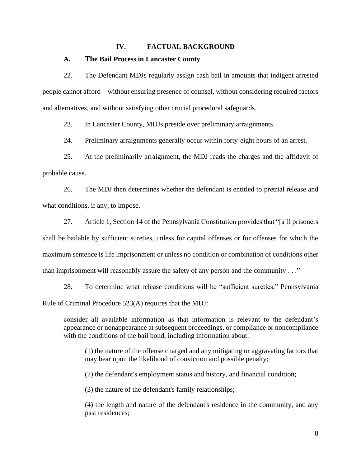### **IV. FACTUAL BACKGROUND**

#### **A. The Bail Process in Lancaster County**

22. The Defendant MDJs regularly assign cash bail in amounts that indigent arrested people cannot afford—without ensuring presence of counsel, without considering required factors and alternatives, and without satisfying other crucial procedural safeguards.

23. In Lancaster County, MDJs preside over preliminary arraignments.

24. Preliminary arraignments generally occur within forty-eight hours of an arrest.

25. At the preliminarily arraignment, the MDJ reads the charges and the affidavit of probable cause.

26. The MDJ then determines whether the defendant is entitled to pretrial release and what conditions, if any, to impose.

27. Article 1, Section 14 of the Pennsylvania Constitution provides that "[a]ll prisoners shall be bailable by sufficient sureties, unless for capital offenses or for offenses for which the maximum sentence is life imprisonment or unless no condition or combination of conditions other than imprisonment will reasonably assure the safety of any person and the community . . ."

28. To determine what release conditions will be "sufficient sureties," Pennsylvania Rule of Criminal Procedure 523(A) requires that the MDJ:

consider all available information as that information is relevant to the defendant's appearance or nonappearance at subsequent proceedings, or compliance or noncompliance with the conditions of the bail bond, including information about:

(1) the nature of the offense charged and any mitigating or aggravating factors that may bear upon the likelihood of conviction and possible penalty;

(2) the defendant's employment status and history, and financial condition;

(3) the nature of the defendant's family relationships;

(4) the length and nature of the defendant's residence in the community, and any past residences;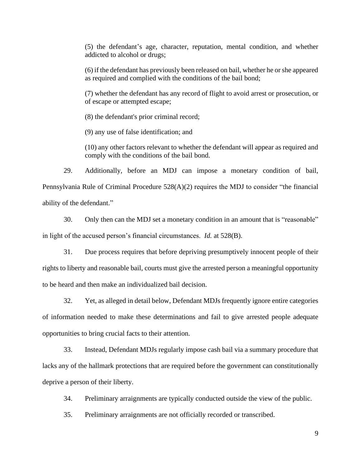(5) the defendant's age, character, reputation, mental condition, and whether addicted to alcohol or drugs;

(6) if the defendant has previously been released on bail, whether he or she appeared as required and complied with the conditions of the bail bond;

(7) whether the defendant has any record of flight to avoid arrest or prosecution, or of escape or attempted escape;

(8) the defendant's prior criminal record;

(9) any use of false identification; and

(10) any other factors relevant to whether the defendant will appear as required and comply with the conditions of the bail bond.

29. Additionally, before an MDJ can impose a monetary condition of bail, Pennsylvania Rule of Criminal Procedure 528(A)(2) requires the MDJ to consider "the financial ability of the defendant."

30. Only then can the MDJ set a monetary condition in an amount that is "reasonable" in light of the accused person's financial circumstances. *Id.* at 528(B).

31. Due process requires that before depriving presumptively innocent people of their rights to liberty and reasonable bail, courts must give the arrested person a meaningful opportunity to be heard and then make an individualized bail decision.

32. Yet, as alleged in detail below, Defendant MDJs frequently ignore entire categories of information needed to make these determinations and fail to give arrested people adequate opportunities to bring crucial facts to their attention.

33. Instead, Defendant MDJs regularly impose cash bail via a summary procedure that lacks any of the hallmark protections that are required before the government can constitutionally deprive a person of their liberty.

34. Preliminary arraignments are typically conducted outside the view of the public.

35. Preliminary arraignments are not officially recorded or transcribed.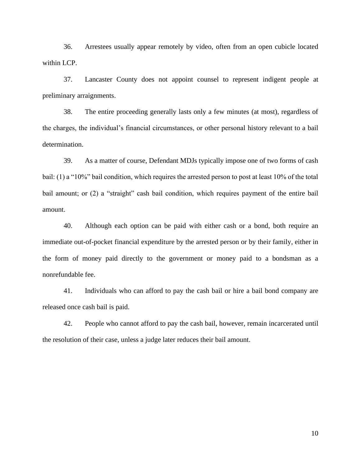36. Arrestees usually appear remotely by video, often from an open cubicle located within LCP.

37. Lancaster County does not appoint counsel to represent indigent people at preliminary arraignments.

38. The entire proceeding generally lasts only a few minutes (at most), regardless of the charges, the individual's financial circumstances, or other personal history relevant to a bail determination.

39. As a matter of course, Defendant MDJs typically impose one of two forms of cash bail: (1) a "10%" bail condition, which requires the arrested person to post at least 10% of the total bail amount; or (2) a "straight" cash bail condition, which requires payment of the entire bail amount.

40. Although each option can be paid with either cash or a bond, both require an immediate out-of-pocket financial expenditure by the arrested person or by their family, either in the form of money paid directly to the government or money paid to a bondsman as a nonrefundable fee.

41. Individuals who can afford to pay the cash bail or hire a bail bond company are released once cash bail is paid.

42. People who cannot afford to pay the cash bail, however, remain incarcerated until the resolution of their case, unless a judge later reduces their bail amount.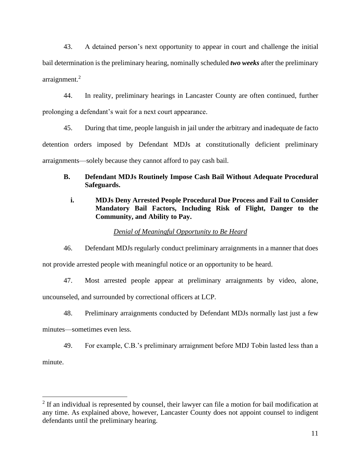43. A detained person's next opportunity to appear in court and challenge the initial bail determination is the preliminary hearing, nominally scheduled *two weeks* after the preliminary arraignment. 2

44. In reality, preliminary hearings in Lancaster County are often continued, further prolonging a defendant's wait for a next court appearance.

45. During that time, people languish in jail under the arbitrary and inadequate de facto detention orders imposed by Defendant MDJs at constitutionally deficient preliminary arraignments—solely because they cannot afford to pay cash bail.

# **B. Defendant MDJs Routinely Impose Cash Bail Without Adequate Procedural Safeguards.**

# **i. MDJs Deny Arrested People Procedural Due Process and Fail to Consider Mandatory Bail Factors, Including Risk of Flight, Danger to the Community, and Ability to Pay.**

## *Denial of Meaningful Opportunity to Be Heard*

46. Defendant MDJs regularly conduct preliminary arraignments in a manner that does not provide arrested people with meaningful notice or an opportunity to be heard.

47. Most arrested people appear at preliminary arraignments by video, alone, uncounseled, and surrounded by correctional officers at LCP.

48. Preliminary arraignments conducted by Defendant MDJs normally last just a few minutes—sometimes even less.

49. For example, C.B.'s preliminary arraignment before MDJ Tobin lasted less than a minute.

 $2$  If an individual is represented by counsel, their lawyer can file a motion for bail modification at any time. As explained above, however, Lancaster County does not appoint counsel to indigent defendants until the preliminary hearing.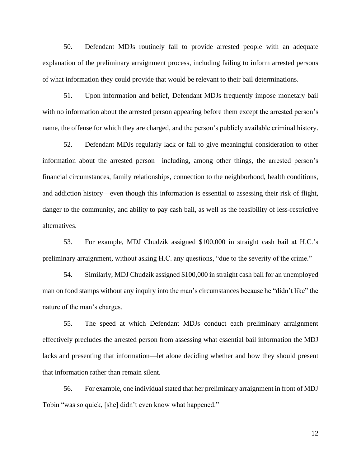50. Defendant MDJs routinely fail to provide arrested people with an adequate explanation of the preliminary arraignment process, including failing to inform arrested persons of what information they could provide that would be relevant to their bail determinations.

51. Upon information and belief, Defendant MDJs frequently impose monetary bail with no information about the arrested person appearing before them except the arrested person's name, the offense for which they are charged, and the person's publicly available criminal history.

52. Defendant MDJs regularly lack or fail to give meaningful consideration to other information about the arrested person—including, among other things, the arrested person's financial circumstances, family relationships, connection to the neighborhood, health conditions, and addiction history—even though this information is essential to assessing their risk of flight, danger to the community, and ability to pay cash bail, as well as the feasibility of less-restrictive alternatives.

53. For example, MDJ Chudzik assigned \$100,000 in straight cash bail at H.C.'s preliminary arraignment, without asking H.C. any questions, "due to the severity of the crime."

54. Similarly, MDJ Chudzik assigned \$100,000 in straight cash bail for an unemployed man on food stamps without any inquiry into the man's circumstances because he "didn't like" the nature of the man's charges.

55. The speed at which Defendant MDJs conduct each preliminary arraignment effectively precludes the arrested person from assessing what essential bail information the MDJ lacks and presenting that information—let alone deciding whether and how they should present that information rather than remain silent.

56. For example, one individual stated that her preliminary arraignment in front of MDJ Tobin "was so quick, [she] didn't even know what happened."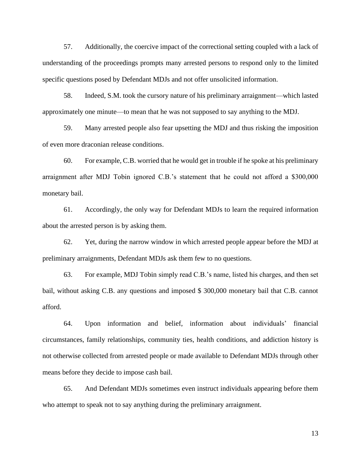57. Additionally, the coercive impact of the correctional setting coupled with a lack of understanding of the proceedings prompts many arrested persons to respond only to the limited specific questions posed by Defendant MDJs and not offer unsolicited information.

58. Indeed, S.M. took the cursory nature of his preliminary arraignment—which lasted approximately one minute—to mean that he was not supposed to say anything to the MDJ.

59. Many arrested people also fear upsetting the MDJ and thus risking the imposition of even more draconian release conditions.

60. For example, C.B. worried that he would get in trouble if he spoke at his preliminary arraignment after MDJ Tobin ignored C.B.'s statement that he could not afford a \$300,000 monetary bail.

61. Accordingly, the only way for Defendant MDJs to learn the required information about the arrested person is by asking them.

62. Yet, during the narrow window in which arrested people appear before the MDJ at preliminary arraignments, Defendant MDJs ask them few to no questions.

63. For example, MDJ Tobin simply read C.B.'s name, listed his charges, and then set bail, without asking C.B. any questions and imposed \$ 300,000 monetary bail that C.B. cannot afford.

64. Upon information and belief, information about individuals' financial circumstances, family relationships, community ties, health conditions, and addiction history is not otherwise collected from arrested people or made available to Defendant MDJs through other means before they decide to impose cash bail.

65. And Defendant MDJs sometimes even instruct individuals appearing before them who attempt to speak not to say anything during the preliminary arraignment.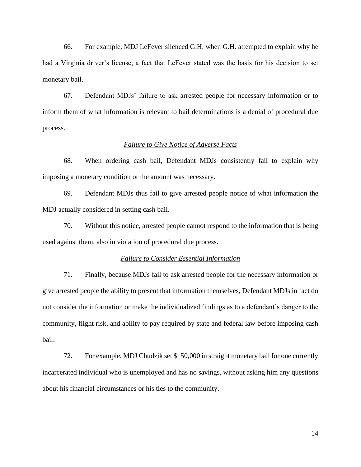66. For example, MDJ LeFever silenced G.H. when G.H. attempted to explain why he had a Virginia driver's license, a fact that LeFever stated was the basis for his decision to set monetary bail.

67. Defendant MDJs' failure to ask arrested people for necessary information or to inform them of what information is relevant to bail determinations is a denial of procedural due process.

#### *Failure to Give Notice of Adverse Facts*

68. When ordering cash bail, Defendant MDJs consistently fail to explain why imposing a monetary condition or the amount was necessary.

69. Defendant MDJs thus fail to give arrested people notice of what information the MDJ actually considered in setting cash bail.

70. Without this notice, arrested people cannot respond to the information that is being used against them, also in violation of procedural due process.

#### *Failure to Consider Essential Information*

71. Finally, because MDJs fail to ask arrested people for the necessary information or give arrested people the ability to present that information themselves, Defendant MDJs in fact do not consider the information or make the individualized findings as to a defendant's danger to the community, flight risk, and ability to pay required by state and federal law before imposing cash bail.

72. For example, MDJ Chudzik set \$150,000 in straight monetary bail for one currently incarcerated individual who is unemployed and has no savings, without asking him any questions about his financial circumstances or his ties to the community.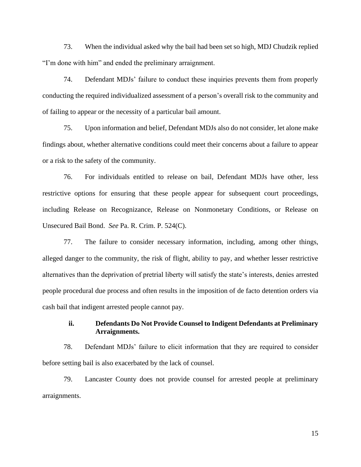73. When the individual asked why the bail had been set so high, MDJ Chudzik replied "I'm done with him" and ended the preliminary arraignment.

74. Defendant MDJs' failure to conduct these inquiries prevents them from properly conducting the required individualized assessment of a person's overall risk to the community and of failing to appear or the necessity of a particular bail amount.

75. Upon information and belief, Defendant MDJs also do not consider, let alone make findings about, whether alternative conditions could meet their concerns about a failure to appear or a risk to the safety of the community.

76. For individuals entitled to release on bail, Defendant MDJs have other, less restrictive options for ensuring that these people appear for subsequent court proceedings, including Release on Recognizance, Release on Nonmonetary Conditions, or Release on Unsecured Bail Bond. *See* Pa. R. Crim. P. 524(C).

77. The failure to consider necessary information, including, among other things, alleged danger to the community, the risk of flight, ability to pay, and whether lesser restrictive alternatives than the deprivation of pretrial liberty will satisfy the state's interests, denies arrested people procedural due process and often results in the imposition of de facto detention orders via cash bail that indigent arrested people cannot pay.

### **ii. Defendants Do Not Provide Counsel to Indigent Defendants at Preliminary Arraignments.**

78. Defendant MDJs' failure to elicit information that they are required to consider before setting bail is also exacerbated by the lack of counsel.

79. Lancaster County does not provide counsel for arrested people at preliminary arraignments.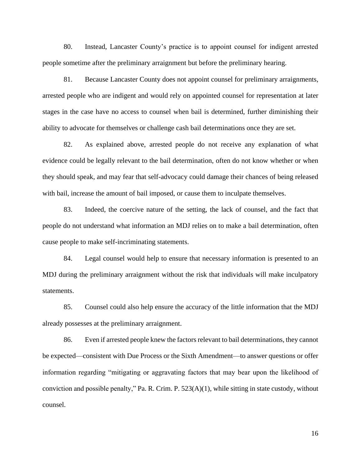80. Instead, Lancaster County's practice is to appoint counsel for indigent arrested people sometime after the preliminary arraignment but before the preliminary hearing.

81. Because Lancaster County does not appoint counsel for preliminary arraignments, arrested people who are indigent and would rely on appointed counsel for representation at later stages in the case have no access to counsel when bail is determined, further diminishing their ability to advocate for themselves or challenge cash bail determinations once they are set.

82. As explained above, arrested people do not receive any explanation of what evidence could be legally relevant to the bail determination, often do not know whether or when they should speak, and may fear that self-advocacy could damage their chances of being released with bail, increase the amount of bail imposed, or cause them to inculpate themselves.

83. Indeed, the coercive nature of the setting, the lack of counsel, and the fact that people do not understand what information an MDJ relies on to make a bail determination, often cause people to make self-incriminating statements.

84. Legal counsel would help to ensure that necessary information is presented to an MDJ during the preliminary arraignment without the risk that individuals will make inculpatory statements.

85. Counsel could also help ensure the accuracy of the little information that the MDJ already possesses at the preliminary arraignment.

86. Even if arrested people knew the factors relevant to bail determinations, they cannot be expected—consistent with Due Process or the Sixth Amendment—to answer questions or offer information regarding "mitigating or aggravating factors that may bear upon the likelihood of conviction and possible penalty," Pa. R. Crim. P. 523(A)(1), while sitting in state custody, without counsel.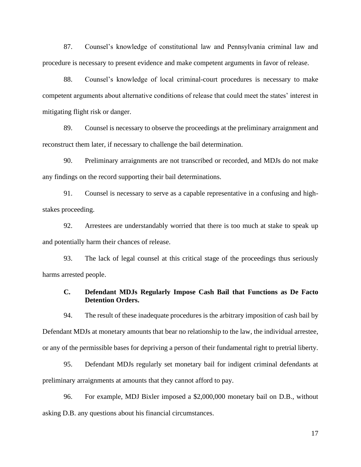87. Counsel's knowledge of constitutional law and Pennsylvania criminal law and procedure is necessary to present evidence and make competent arguments in favor of release.

88. Counsel's knowledge of local criminal-court procedures is necessary to make competent arguments about alternative conditions of release that could meet the states' interest in mitigating flight risk or danger.

89. Counsel is necessary to observe the proceedings at the preliminary arraignment and reconstruct them later, if necessary to challenge the bail determination.

90. Preliminary arraignments are not transcribed or recorded, and MDJs do not make any findings on the record supporting their bail determinations.

91. Counsel is necessary to serve as a capable representative in a confusing and highstakes proceeding.

92. Arrestees are understandably worried that there is too much at stake to speak up and potentially harm their chances of release.

93. The lack of legal counsel at this critical stage of the proceedings thus seriously harms arrested people.

### **C. Defendant MDJs Regularly Impose Cash Bail that Functions as De Facto Detention Orders.**

94. The result of these inadequate procedures is the arbitrary imposition of cash bail by Defendant MDJs at monetary amounts that bear no relationship to the law, the individual arrestee, or any of the permissible bases for depriving a person of their fundamental right to pretrial liberty.

95. Defendant MDJs regularly set monetary bail for indigent criminal defendants at preliminary arraignments at amounts that they cannot afford to pay.

96. For example, MDJ Bixler imposed a \$2,000,000 monetary bail on D.B., without asking D.B. any questions about his financial circumstances.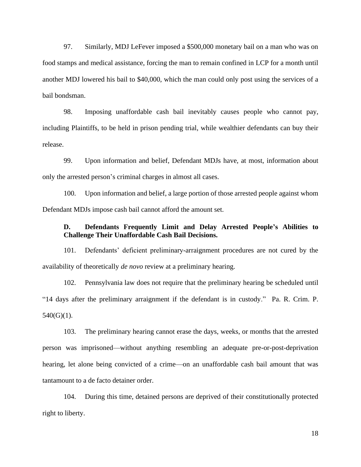97. Similarly, MDJ LeFever imposed a \$500,000 monetary bail on a man who was on food stamps and medical assistance, forcing the man to remain confined in LCP for a month until another MDJ lowered his bail to \$40,000, which the man could only post using the services of a bail bondsman.

98. Imposing unaffordable cash bail inevitably causes people who cannot pay, including Plaintiffs, to be held in prison pending trial, while wealthier defendants can buy their release.

99. Upon information and belief, Defendant MDJs have, at most, information about only the arrested person's criminal charges in almost all cases.

100. Upon information and belief, a large portion of those arrested people against whom Defendant MDJs impose cash bail cannot afford the amount set.

## **D. Defendants Frequently Limit and Delay Arrested People's Abilities to Challenge Their Unaffordable Cash Bail Decisions.**

101. Defendants' deficient preliminary-arraignment procedures are not cured by the availability of theoretically *de novo* review at a preliminary hearing.

102. Pennsylvania law does not require that the preliminary hearing be scheduled until "14 days after the preliminary arraignment if the defendant is in custody." Pa. R. Crim. P.  $540(G)(1)$ .

103. The preliminary hearing cannot erase the days, weeks, or months that the arrested person was imprisoned—without anything resembling an adequate pre-or-post-deprivation hearing, let alone being convicted of a crime—on an unaffordable cash bail amount that was tantamount to a de facto detainer order.

104. During this time, detained persons are deprived of their constitutionally protected right to liberty.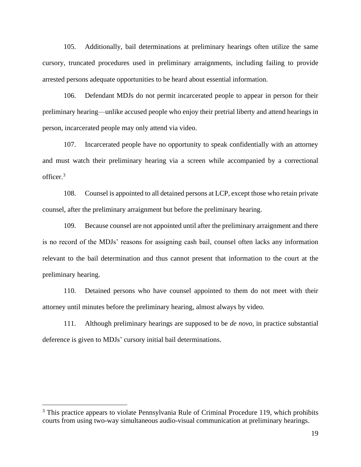105. Additionally, bail determinations at preliminary hearings often utilize the same cursory, truncated procedures used in preliminary arraignments, including failing to provide arrested persons adequate opportunities to be heard about essential information.

106. Defendant MDJs do not permit incarcerated people to appear in person for their preliminary hearing—unlike accused people who enjoy their pretrial liberty and attend hearings in person, incarcerated people may only attend via video.

107. Incarcerated people have no opportunity to speak confidentially with an attorney and must watch their preliminary hearing via a screen while accompanied by a correctional officer.<sup>3</sup>

108. Counsel is appointed to all detained persons at LCP, except those who retain private counsel, after the preliminary arraignment but before the preliminary hearing.

109. Because counsel are not appointed until after the preliminary arraignment and there is no record of the MDJs' reasons for assigning cash bail, counsel often lacks any information relevant to the bail determination and thus cannot present that information to the court at the preliminary hearing.

110. Detained persons who have counsel appointed to them do not meet with their attorney until minutes before the preliminary hearing, almost always by video.

111. Although preliminary hearings are supposed to be *de novo*, in practice substantial deference is given to MDJs' cursory initial bail determinations.

<sup>&</sup>lt;sup>3</sup> This practice appears to violate Pennsylvania Rule of Criminal Procedure 119, which prohibits courts from using two-way simultaneous audio-visual communication at preliminary hearings.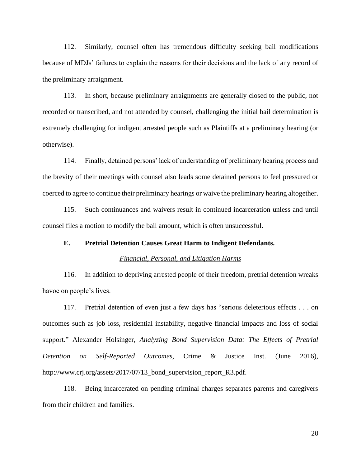112. Similarly, counsel often has tremendous difficulty seeking bail modifications because of MDJs' failures to explain the reasons for their decisions and the lack of any record of the preliminary arraignment.

113. In short, because preliminary arraignments are generally closed to the public, not recorded or transcribed, and not attended by counsel, challenging the initial bail determination is extremely challenging for indigent arrested people such as Plaintiffs at a preliminary hearing (or otherwise).

114. Finally, detained persons' lack of understanding of preliminary hearing process and the brevity of their meetings with counsel also leads some detained persons to feel pressured or coerced to agree to continue their preliminary hearings or waive the preliminary hearing altogether.

115. Such continuances and waivers result in continued incarceration unless and until counsel files a motion to modify the bail amount, which is often unsuccessful.

### **E. Pretrial Detention Causes Great Harm to Indigent Defendants.**

#### *Financial, Personal, and Litigation Harms*

116. In addition to depriving arrested people of their freedom, pretrial detention wreaks havoc on people's lives.

117. Pretrial detention of even just a few days has "serious deleterious effects . . . on outcomes such as job loss, residential instability, negative financial impacts and loss of social support." Alexander Holsinger, *Analyzing Bond Supervision Data: The Effects of Pretrial Detention on Self-Reported Outcomes*, Crime & Justice Inst. (June 2016), http://www.crj.org/assets/2017/07/13\_bond\_supervision\_report\_R3.pdf.

118. Being incarcerated on pending criminal charges separates parents and caregivers from their children and families.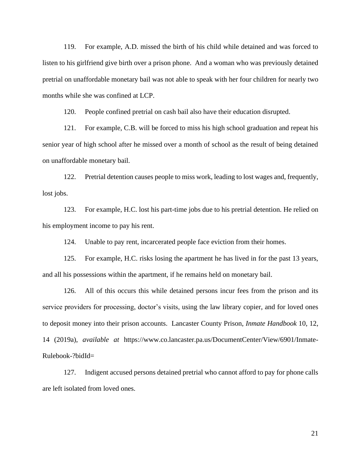119. For example, A.D. missed the birth of his child while detained and was forced to listen to his girlfriend give birth over a prison phone. And a woman who was previously detained pretrial on unaffordable monetary bail was not able to speak with her four children for nearly two months while she was confined at LCP.

120. People confined pretrial on cash bail also have their education disrupted.

121. For example, C.B. will be forced to miss his high school graduation and repeat his senior year of high school after he missed over a month of school as the result of being detained on unaffordable monetary bail.

122. Pretrial detention causes people to miss work, leading to lost wages and, frequently, lost jobs.

123. For example, H.C. lost his part-time jobs due to his pretrial detention. He relied on his employment income to pay his rent.

124. Unable to pay rent, incarcerated people face eviction from their homes.

125. For example, H.C. risks losing the apartment he has lived in for the past 13 years, and all his possessions within the apartment, if he remains held on monetary bail.

126. All of this occurs this while detained persons incur fees from the prison and its service providers for processing, doctor's visits, using the law library copier, and for loved ones to deposit money into their prison accounts. Lancaster County Prison, *Inmate Handbook* 10, 12, 14 (2019a), *available at* https://www.co.lancaster.pa.us/DocumentCenter/View/6901/Inmate-Rulebook-?bidId=

127. Indigent accused persons detained pretrial who cannot afford to pay for phone calls are left isolated from loved ones.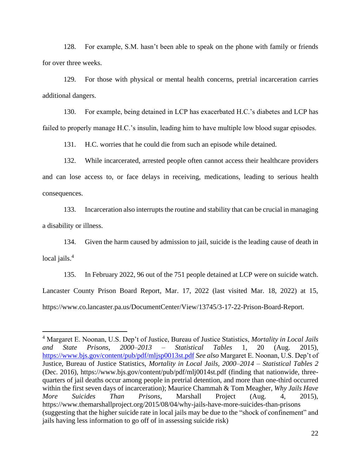128. For example, S.M. hasn't been able to speak on the phone with family or friends for over three weeks.

129. For those with physical or mental health concerns, pretrial incarceration carries additional dangers.

130. For example, being detained in LCP has exacerbated H.C.'s diabetes and LCP has failed to properly manage H.C.'s insulin, leading him to have multiple low blood sugar episodes.

131. H.C. worries that he could die from such an episode while detained.

132. While incarcerated, arrested people often cannot access their healthcare providers and can lose access to, or face delays in receiving, medications, leading to serious health consequences.

133. Incarceration also interrupts the routine and stability that can be crucial in managing a disability or illness.

134. Given the harm caused by admission to jail, suicide is the leading cause of death in local jails.<sup>4</sup>

135. In February 2022, 96 out of the 751 people detained at LCP were on suicide watch. Lancaster County Prison Board Report, Mar. 17, 2022 (last visited Mar. 18, 2022) at 15, https://www.co.lancaster.pa.us/DocumentCenter/View/13745/3-17-22-Prison-Board-Report.

<sup>4</sup> Margaret E. Noonan, U.S. Dep't of Justice, Bureau of Justice Statistics, *Mortality in Local Jails and State Prisons, 2000–2013 – Statistical Tables* 1, 20 (Aug. 2015), <https://www.bjs.gov/content/pub/pdf/mljsp0013st.pdf> *See also* Margaret E. Noonan, U.S. Dep't of Justice, Bureau of Justice Statistics, *Mortality in Local Jails, 2000–2014 – Statistical Tables 2* (Dec. 2016), https://www.bjs.gov/content/pub/pdf/mlj0014st.pdf (finding that nationwide, threequarters of jail deaths occur among people in pretrial detention, and more than one-third occurred within the first seven days of incarceration); Maurice Chammah & Tom Meagher, *Why Jails Have More Suicides Than Prisons*, Marshall Project (Aug. 4, 2015), https://www.themarshallproject.org/2015/08/04/why-jails-have-more-suicides-than-prisons (suggesting that the higher suicide rate in local jails may be due to the "shock of confinement" and jails having less information to go off of in assessing suicide risk)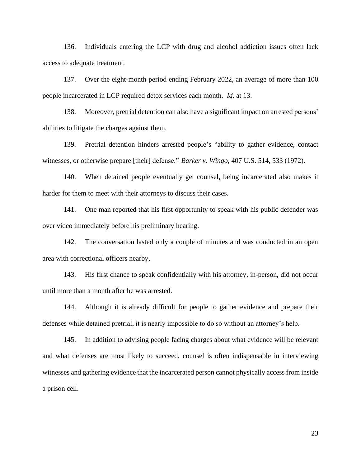136. Individuals entering the LCP with drug and alcohol addiction issues often lack access to adequate treatment.

137. Over the eight-month period ending February 2022, an average of more than 100 people incarcerated in LCP required detox services each month. *Id.* at 13.

138. Moreover, pretrial detention can also have a significant impact on arrested persons' abilities to litigate the charges against them.

139. Pretrial detention hinders arrested people's "ability to gather evidence, contact witnesses, or otherwise prepare [their] defense." *Barker v. Wingo*, 407 U.S. 514, 533 (1972).

140. When detained people eventually get counsel, being incarcerated also makes it harder for them to meet with their attorneys to discuss their cases.

141. One man reported that his first opportunity to speak with his public defender was over video immediately before his preliminary hearing.

142. The conversation lasted only a couple of minutes and was conducted in an open area with correctional officers nearby,

143. His first chance to speak confidentially with his attorney, in-person, did not occur until more than a month after he was arrested.

144. Although it is already difficult for people to gather evidence and prepare their defenses while detained pretrial, it is nearly impossible to do so without an attorney's help.

145. In addition to advising people facing charges about what evidence will be relevant and what defenses are most likely to succeed, counsel is often indispensable in interviewing witnesses and gathering evidence that the incarcerated person cannot physically access from inside a prison cell.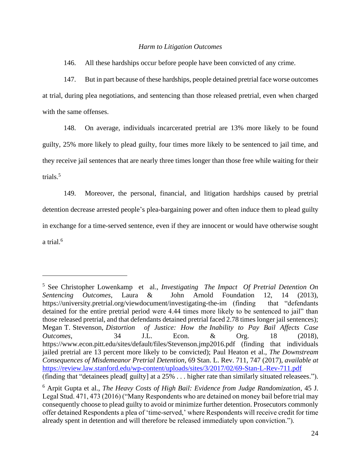#### *Harm to Litigation Outcomes*

146. All these hardships occur before people have been convicted of any crime.

147. But in part because of these hardships, people detained pretrial face worse outcomes at trial, during plea negotiations, and sentencing than those released pretrial, even when charged with the same offenses.

148. On average, individuals incarcerated pretrial are 13% more likely to be found guilty, 25% more likely to plead guilty, four times more likely to be sentenced to jail time, and they receive jail sentences that are nearly three times longer than those free while waiting for their trials. 5

149. Moreover, the personal, financial, and litigation hardships caused by pretrial detention decrease arrested people's plea-bargaining power and often induce them to plead guilty in exchange for a time-served sentence, even if they are innocent or would have otherwise sought a trial.<sup>6</sup>

<sup>5</sup> See Christopher Lowenkamp et al., *Investigating The Impact Of Pretrial Detention On Sentencing Outcomes*, Laura & John Arnold Foundation 12, 14 (2013), https://university.pretrial.org/viewdocument/investigating-the-im (finding that "defendants") detained for the entire pretrial period were 4.44 times more likely to be sentenced to jail" than those released pretrial, and that defendants detained pretrial faced 2.78 times longer jail sentences); Megan T. Stevenson, *Distortion of Justice: How the Inability to Pay Bail Affects Case Outcomes*, 34 J.L. Econ. & Org. 18 (2018), https://www.econ.pitt.edu/sites/default/files/Stevenson.jmp2016.pdf (finding that individuals jailed pretrial are 13 percent more likely to be convicted); Paul Heaton et al., *The Downstream Consequences of Misdemeanor Pretrial Detention*, 69 Stan. L. Rev. 711, 747 (2017), *available at*  <https://review.law.stanford.edu/wp-content/uploads/sites/3/2017/02/69-Stan-L-Rev-711.pdf> (finding that "detainees plead[ guilty] at a 25% . . . higher rate than similarly situated releasees.").

<sup>6</sup> Arpit Gupta et al., *The Heavy Costs of High Bail: Evidence from Judge Randomization*, 45 J. Legal Stud. 471, 473 (2016) ("Many Respondents who are detained on money bail before trial may consequently choose to plead guilty to avoid or minimize further detention. Prosecutors commonly offer detained Respondents a plea of 'time-served,' where Respondents will receive credit for time already spent in detention and will therefore be released immediately upon conviction.").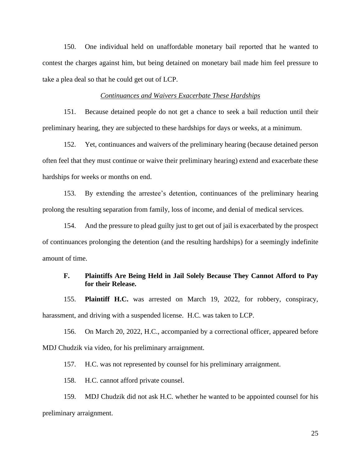150. One individual held on unaffordable monetary bail reported that he wanted to contest the charges against him, but being detained on monetary bail made him feel pressure to take a plea deal so that he could get out of LCP.

#### *Continuances and Waivers Exacerbate These Hardships*

151. Because detained people do not get a chance to seek a bail reduction until their preliminary hearing, they are subjected to these hardships for days or weeks, at a minimum.

152. Yet, continuances and waivers of the preliminary hearing (because detained person often feel that they must continue or waive their preliminary hearing) extend and exacerbate these hardships for weeks or months on end.

153. By extending the arrestee's detention, continuances of the preliminary hearing prolong the resulting separation from family, loss of income, and denial of medical services.

154. And the pressure to plead guilty just to get out of jail is exacerbated by the prospect of continuances prolonging the detention (and the resulting hardships) for a seemingly indefinite amount of time.

### **F. Plaintiffs Are Being Held in Jail Solely Because They Cannot Afford to Pay for their Release.**

155. **Plaintiff H.C.** was arrested on March 19, 2022, for robbery, conspiracy, harassment, and driving with a suspended license. H.C. was taken to LCP.

156. On March 20, 2022, H.C., accompanied by a correctional officer, appeared before MDJ Chudzik via video, for his preliminary arraignment.

157. H.C. was not represented by counsel for his preliminary arraignment.

158. H.C. cannot afford private counsel.

159. MDJ Chudzik did not ask H.C. whether he wanted to be appointed counsel for his preliminary arraignment.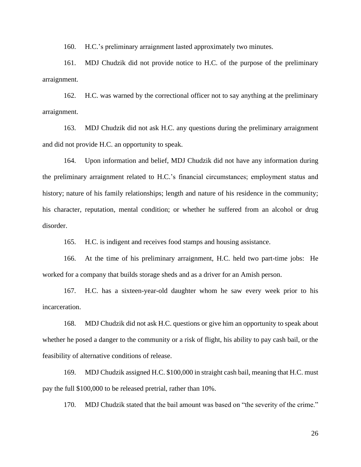160. H.C.'s preliminary arraignment lasted approximately two minutes.

161. MDJ Chudzik did not provide notice to H.C. of the purpose of the preliminary arraignment.

162. H.C. was warned by the correctional officer not to say anything at the preliminary arraignment.

163. MDJ Chudzik did not ask H.C. any questions during the preliminary arraignment and did not provide H.C. an opportunity to speak.

164. Upon information and belief, MDJ Chudzik did not have any information during the preliminary arraignment related to H.C.'s financial circumstances; employment status and history; nature of his family relationships; length and nature of his residence in the community; his character, reputation, mental condition; or whether he suffered from an alcohol or drug disorder.

165. H.C. is indigent and receives food stamps and housing assistance.

166. At the time of his preliminary arraignment, H.C. held two part-time jobs: He worked for a company that builds storage sheds and as a driver for an Amish person.

167. H.C. has a sixteen-year-old daughter whom he saw every week prior to his incarceration.

168. MDJ Chudzik did not ask H.C. questions or give him an opportunity to speak about whether he posed a danger to the community or a risk of flight, his ability to pay cash bail, or the feasibility of alternative conditions of release.

169. MDJ Chudzik assigned H.C. \$100,000 in straight cash bail, meaning that H.C. must pay the full \$100,000 to be released pretrial, rather than 10%.

170. MDJ Chudzik stated that the bail amount was based on "the severity of the crime."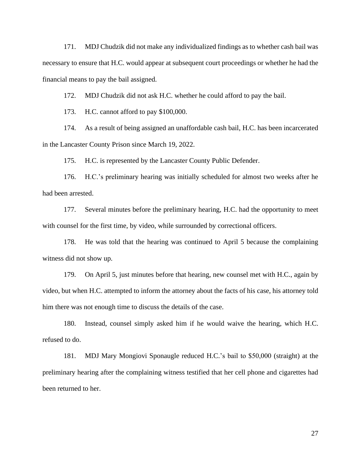171. MDJ Chudzik did not make any individualized findings as to whether cash bail was necessary to ensure that H.C. would appear at subsequent court proceedings or whether he had the financial means to pay the bail assigned.

172. MDJ Chudzik did not ask H.C. whether he could afford to pay the bail.

173. H.C. cannot afford to pay \$100,000.

174. As a result of being assigned an unaffordable cash bail, H.C. has been incarcerated in the Lancaster County Prison since March 19, 2022.

175. H.C. is represented by the Lancaster County Public Defender.

176. H.C.'s preliminary hearing was initially scheduled for almost two weeks after he had been arrested.

177. Several minutes before the preliminary hearing, H.C. had the opportunity to meet with counsel for the first time, by video, while surrounded by correctional officers.

178. He was told that the hearing was continued to April 5 because the complaining witness did not show up.

179. On April 5, just minutes before that hearing, new counsel met with H.C., again by video, but when H.C. attempted to inform the attorney about the facts of his case, his attorney told him there was not enough time to discuss the details of the case.

180. Instead, counsel simply asked him if he would waive the hearing, which H.C. refused to do.

181. MDJ Mary Mongiovi Sponaugle reduced H.C.'s bail to \$50,000 (straight) at the preliminary hearing after the complaining witness testified that her cell phone and cigarettes had been returned to her.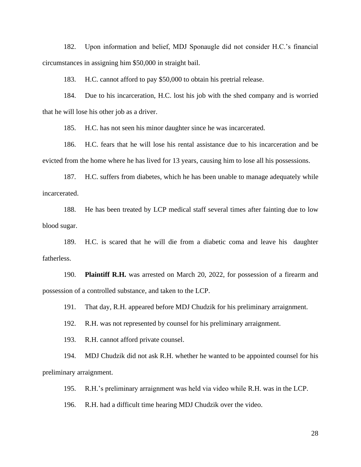182. Upon information and belief, MDJ Sponaugle did not consider H.C.'s financial circumstances in assigning him \$50,000 in straight bail.

183. H.C. cannot afford to pay \$50,000 to obtain his pretrial release.

184. Due to his incarceration, H.C. lost his job with the shed company and is worried that he will lose his other job as a driver.

185. H.C. has not seen his minor daughter since he was incarcerated.

186. H.C. fears that he will lose his rental assistance due to his incarceration and be evicted from the home where he has lived for 13 years, causing him to lose all his possessions.

187. H.C. suffers from diabetes, which he has been unable to manage adequately while incarcerated.

188. He has been treated by LCP medical staff several times after fainting due to low blood sugar.

189. H.C. is scared that he will die from a diabetic coma and leave his daughter fatherless.

190. **Plaintiff R.H.** was arrested on March 20, 2022, for possession of a firearm and possession of a controlled substance, and taken to the LCP.

191. That day, R.H. appeared before MDJ Chudzik for his preliminary arraignment.

192. R.H. was not represented by counsel for his preliminary arraignment.

193. R.H. cannot afford private counsel.

194. MDJ Chudzik did not ask R.H. whether he wanted to be appointed counsel for his preliminary arraignment.

195. R.H.'s preliminary arraignment was held via video while R.H. was in the LCP.

196. R.H. had a difficult time hearing MDJ Chudzik over the video.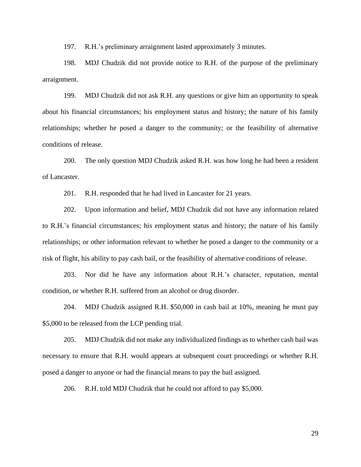197. R.H.'s preliminary arraignment lasted approximately 3 minutes.

198. MDJ Chudzik did not provide notice to R.H. of the purpose of the preliminary arraignment.

199. MDJ Chudzik did not ask R.H. any questions or give him an opportunity to speak about his financial circumstances; his employment status and history; the nature of his family relationships; whether he posed a danger to the community; or the feasibility of alternative conditions of release.

200. The only question MDJ Chudzik asked R.H. was how long he had been a resident of Lancaster.

201. R.H. responded that he had lived in Lancaster for 21 years.

202. Upon information and belief, MDJ Chudzik did not have any information related to R.H.'s financial circumstances; his employment status and history; the nature of his family relationships; or other information relevant to whether he posed a danger to the community or a risk of flight, his ability to pay cash bail, or the feasibility of alternative conditions of release.

203. Nor did he have any information about R.H.'s character, reputation, mental condition, or whether R.H. suffered from an alcohol or drug disorder.

204. MDJ Chudzik assigned R.H. \$50,000 in cash bail at 10%, meaning he must pay \$5,000 to be released from the LCP pending trial.

205. MDJ Chudzik did not make any individualized findings as to whether cash bail was necessary to ensure that R.H. would appears at subsequent court proceedings or whether R.H. posed a danger to anyone or had the financial means to pay the bail assigned.

206. R.H. told MDJ Chudzik that he could not afford to pay \$5,000.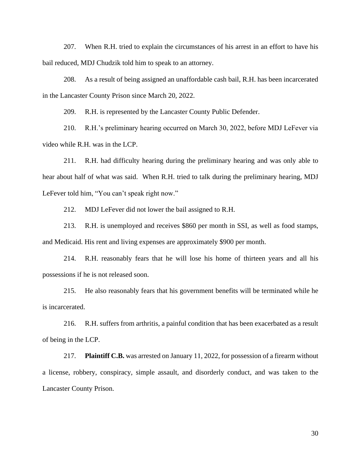207. When R.H. tried to explain the circumstances of his arrest in an effort to have his bail reduced, MDJ Chudzik told him to speak to an attorney.

208. As a result of being assigned an unaffordable cash bail, R.H. has been incarcerated in the Lancaster County Prison since March 20, 2022.

209. R.H. is represented by the Lancaster County Public Defender.

210. R.H.'s preliminary hearing occurred on March 30, 2022, before MDJ LeFever via video while R.H. was in the LCP.

211. R.H. had difficulty hearing during the preliminary hearing and was only able to hear about half of what was said. When R.H. tried to talk during the preliminary hearing, MDJ LeFever told him, "You can't speak right now."

212. MDJ LeFever did not lower the bail assigned to R.H.

213. R.H. is unemployed and receives \$860 per month in SSI, as well as food stamps, and Medicaid. His rent and living expenses are approximately \$900 per month.

214. R.H. reasonably fears that he will lose his home of thirteen years and all his possessions if he is not released soon.

215. He also reasonably fears that his government benefits will be terminated while he is incarcerated.

216. R.H. suffers from arthritis, a painful condition that has been exacerbated as a result of being in the LCP.

217. **Plaintiff C.B.** was arrested on January 11, 2022, for possession of a firearm without a license, robbery, conspiracy, simple assault, and disorderly conduct, and was taken to the Lancaster County Prison.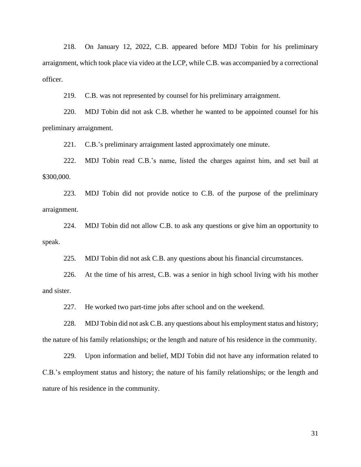218. On January 12, 2022, C.B. appeared before MDJ Tobin for his preliminary arraignment, which took place via video at the LCP, while C.B. was accompanied by a correctional officer.

219. C.B. was not represented by counsel for his preliminary arraignment.

220. MDJ Tobin did not ask C.B. whether he wanted to be appointed counsel for his preliminary arraignment.

221. C.B.'s preliminary arraignment lasted approximately one minute.

222. MDJ Tobin read C.B.'s name, listed the charges against him, and set bail at \$300,000.

223. MDJ Tobin did not provide notice to C.B. of the purpose of the preliminary arraignment.

224. MDJ Tobin did not allow C.B. to ask any questions or give him an opportunity to speak.

225. MDJ Tobin did not ask C.B. any questions about his financial circumstances.

226. At the time of his arrest, C.B. was a senior in high school living with his mother and sister.

227. He worked two part-time jobs after school and on the weekend.

228. MDJ Tobin did not ask C.B. any questions about his employment status and history; the nature of his family relationships; or the length and nature of his residence in the community.

229. Upon information and belief, MDJ Tobin did not have any information related to C.B.'s employment status and history; the nature of his family relationships; or the length and nature of his residence in the community.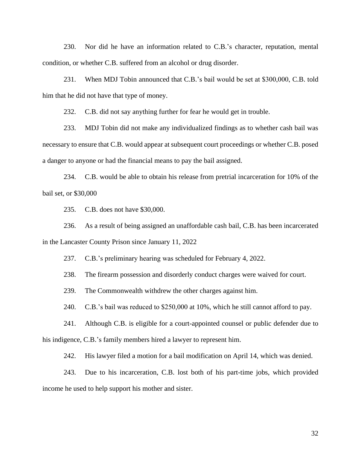230. Nor did he have an information related to C.B.'s character, reputation, mental condition, or whether C.B. suffered from an alcohol or drug disorder.

231. When MDJ Tobin announced that C.B.'s bail would be set at \$300,000, C.B. told him that he did not have that type of money.

232. C.B. did not say anything further for fear he would get in trouble.

233. MDJ Tobin did not make any individualized findings as to whether cash bail was necessary to ensure that C.B. would appear at subsequent court proceedings or whether C.B. posed a danger to anyone or had the financial means to pay the bail assigned.

234. C.B. would be able to obtain his release from pretrial incarceration for 10% of the bail set, or \$30,000

235. C.B. does not have \$30,000.

236. As a result of being assigned an unaffordable cash bail, C.B. has been incarcerated in the Lancaster County Prison since January 11, 2022

237. C.B.'s preliminary hearing was scheduled for February 4, 2022.

238. The firearm possession and disorderly conduct charges were waived for court.

239. The Commonwealth withdrew the other charges against him.

240. C.B.'s bail was reduced to \$250,000 at 10%, which he still cannot afford to pay.

241. Although C.B. is eligible for a court-appointed counsel or public defender due to his indigence, C.B.'s family members hired a lawyer to represent him.

242. His lawyer filed a motion for a bail modification on April 14, which was denied.

243. Due to his incarceration, C.B. lost both of his part-time jobs, which provided income he used to help support his mother and sister.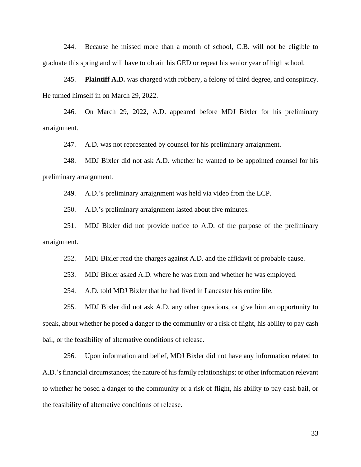244. Because he missed more than a month of school, C.B. will not be eligible to graduate this spring and will have to obtain his GED or repeat his senior year of high school.

245. **Plaintiff A.D.** was charged with robbery, a felony of third degree, and conspiracy. He turned himself in on March 29, 2022.

246. On March 29, 2022, A.D. appeared before MDJ Bixler for his preliminary arraignment.

247. A.D. was not represented by counsel for his preliminary arraignment.

248. MDJ Bixler did not ask A.D. whether he wanted to be appointed counsel for his preliminary arraignment.

249. A.D.'s preliminary arraignment was held via video from the LCP.

250. A.D.'s preliminary arraignment lasted about five minutes.

251. MDJ Bixler did not provide notice to A.D. of the purpose of the preliminary arraignment.

252. MDJ Bixler read the charges against A.D. and the affidavit of probable cause.

253. MDJ Bixler asked A.D. where he was from and whether he was employed.

254. A.D. told MDJ Bixler that he had lived in Lancaster his entire life.

255. MDJ Bixler did not ask A.D. any other questions, or give him an opportunity to speak, about whether he posed a danger to the community or a risk of flight, his ability to pay cash bail, or the feasibility of alternative conditions of release.

256. Upon information and belief, MDJ Bixler did not have any information related to A.D.'s financial circumstances; the nature of his family relationships; or other information relevant to whether he posed a danger to the community or a risk of flight, his ability to pay cash bail, or the feasibility of alternative conditions of release.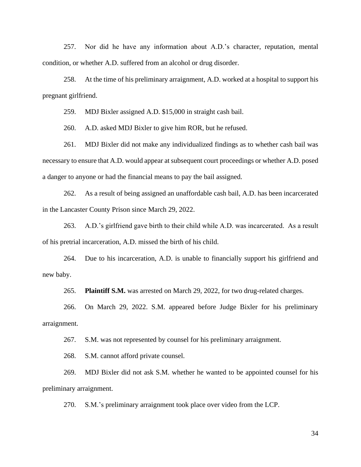257. Nor did he have any information about A.D.'s character, reputation, mental condition, or whether A.D. suffered from an alcohol or drug disorder.

258. At the time of his preliminary arraignment, A.D. worked at a hospital to support his pregnant girlfriend.

259. MDJ Bixler assigned A.D. \$15,000 in straight cash bail.

260. A.D. asked MDJ Bixler to give him ROR, but he refused.

261. MDJ Bixler did not make any individualized findings as to whether cash bail was necessary to ensure that A.D. would appear at subsequent court proceedings or whether A.D. posed a danger to anyone or had the financial means to pay the bail assigned.

262. As a result of being assigned an unaffordable cash bail, A.D. has been incarcerated in the Lancaster County Prison since March 29, 2022.

263. A.D.'s girlfriend gave birth to their child while A.D. was incarcerated. As a result of his pretrial incarceration, A.D. missed the birth of his child.

264. Due to his incarceration, A.D. is unable to financially support his girlfriend and new baby.

265. **Plaintiff S.M.** was arrested on March 29, 2022, for two drug-related charges.

266. On March 29, 2022. S.M. appeared before Judge Bixler for his preliminary arraignment.

267. S.M. was not represented by counsel for his preliminary arraignment.

268. S.M. cannot afford private counsel.

269. MDJ Bixler did not ask S.M. whether he wanted to be appointed counsel for his preliminary arraignment.

270. S.M.'s preliminary arraignment took place over video from the LCP.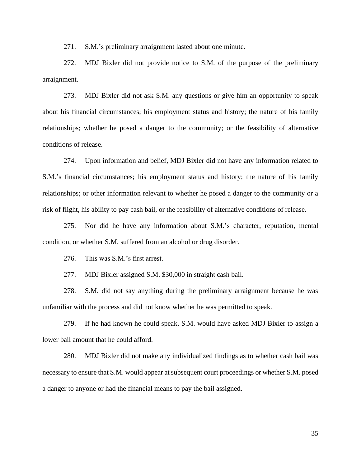271. S.M.'s preliminary arraignment lasted about one minute.

272. MDJ Bixler did not provide notice to S.M. of the purpose of the preliminary arraignment.

273. MDJ Bixler did not ask S.M. any questions or give him an opportunity to speak about his financial circumstances; his employment status and history; the nature of his family relationships; whether he posed a danger to the community; or the feasibility of alternative conditions of release.

274. Upon information and belief, MDJ Bixler did not have any information related to S.M.'s financial circumstances; his employment status and history; the nature of his family relationships; or other information relevant to whether he posed a danger to the community or a risk of flight, his ability to pay cash bail, or the feasibility of alternative conditions of release.

275. Nor did he have any information about S.M.'s character, reputation, mental condition, or whether S.M. suffered from an alcohol or drug disorder.

276. This was S.M.'s first arrest.

277. MDJ Bixler assigned S.M. \$30,000 in straight cash bail.

278. S.M. did not say anything during the preliminary arraignment because he was unfamiliar with the process and did not know whether he was permitted to speak.

279. If he had known he could speak, S.M. would have asked MDJ Bixler to assign a lower bail amount that he could afford.

280. MDJ Bixler did not make any individualized findings as to whether cash bail was necessary to ensure that S.M. would appear at subsequent court proceedings or whether S.M. posed a danger to anyone or had the financial means to pay the bail assigned.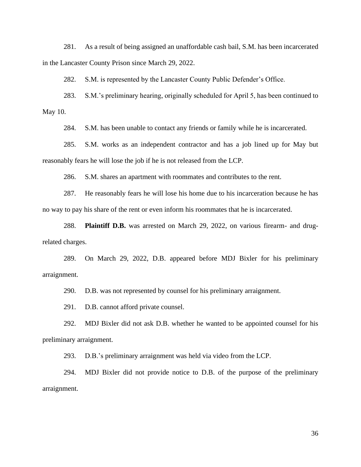281. As a result of being assigned an unaffordable cash bail, S.M. has been incarcerated in the Lancaster County Prison since March 29, 2022.

282. S.M. is represented by the Lancaster County Public Defender's Office.

283. S.M.'s preliminary hearing, originally scheduled for April 5, has been continued to May 10.

284. S.M. has been unable to contact any friends or family while he is incarcerated.

285. S.M. works as an independent contractor and has a job lined up for May but reasonably fears he will lose the job if he is not released from the LCP.

286. S.M. shares an apartment with roommates and contributes to the rent.

287. He reasonably fears he will lose his home due to his incarceration because he has no way to pay his share of the rent or even inform his roommates that he is incarcerated.

288. **Plaintiff D.B.** was arrested on March 29, 2022, on various firearm- and drugrelated charges.

289. On March 29, 2022, D.B. appeared before MDJ Bixler for his preliminary arraignment.

290. D.B. was not represented by counsel for his preliminary arraignment.

291. D.B. cannot afford private counsel.

292. MDJ Bixler did not ask D.B. whether he wanted to be appointed counsel for his preliminary arraignment.

293. D.B.'s preliminary arraignment was held via video from the LCP.

294. MDJ Bixler did not provide notice to D.B. of the purpose of the preliminary arraignment.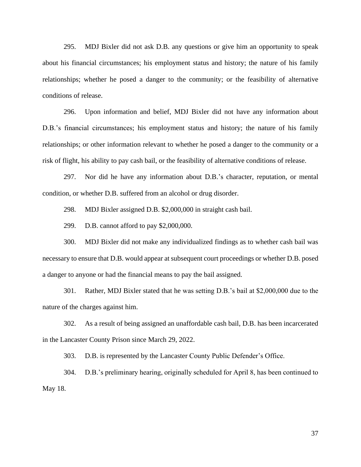295. MDJ Bixler did not ask D.B. any questions or give him an opportunity to speak about his financial circumstances; his employment status and history; the nature of his family relationships; whether he posed a danger to the community; or the feasibility of alternative conditions of release.

296. Upon information and belief, MDJ Bixler did not have any information about D.B.'s financial circumstances; his employment status and history; the nature of his family relationships; or other information relevant to whether he posed a danger to the community or a risk of flight, his ability to pay cash bail, or the feasibility of alternative conditions of release.

297. Nor did he have any information about D.B.'s character, reputation, or mental condition, or whether D.B. suffered from an alcohol or drug disorder.

298. MDJ Bixler assigned D.B. \$2,000,000 in straight cash bail.

299. D.B. cannot afford to pay \$2,000,000.

300. MDJ Bixler did not make any individualized findings as to whether cash bail was necessary to ensure that D.B. would appear at subsequent court proceedings or whether D.B. posed a danger to anyone or had the financial means to pay the bail assigned.

301. Rather, MDJ Bixler stated that he was setting D.B.'s bail at \$2,000,000 due to the nature of the charges against him.

302. As a result of being assigned an unaffordable cash bail, D.B. has been incarcerated in the Lancaster County Prison since March 29, 2022.

303. D.B. is represented by the Lancaster County Public Defender's Office.

304. D.B.'s preliminary hearing, originally scheduled for April 8, has been continued to May 18.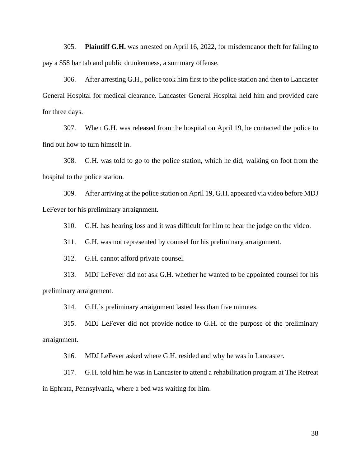305. **Plaintiff G.H.** was arrested on April 16, 2022, for misdemeanor theft for failing to pay a \$58 bar tab and public drunkenness, a summary offense.

306. After arresting G.H., police took him first to the police station and then to Lancaster General Hospital for medical clearance. Lancaster General Hospital held him and provided care for three days.

307. When G.H. was released from the hospital on April 19, he contacted the police to find out how to turn himself in.

308. G.H. was told to go to the police station, which he did, walking on foot from the hospital to the police station.

309. After arriving at the police station on April 19, G.H. appeared via video before MDJ LeFever for his preliminary arraignment.

310. G.H. has hearing loss and it was difficult for him to hear the judge on the video.

311. G.H. was not represented by counsel for his preliminary arraignment.

312. G.H. cannot afford private counsel.

313. MDJ LeFever did not ask G.H. whether he wanted to be appointed counsel for his preliminary arraignment.

314. G.H.'s preliminary arraignment lasted less than five minutes.

315. MDJ LeFever did not provide notice to G.H. of the purpose of the preliminary arraignment.

316. MDJ LeFever asked where G.H. resided and why he was in Lancaster.

317. G.H. told him he was in Lancaster to attend a rehabilitation program at The Retreat in Ephrata, Pennsylvania, where a bed was waiting for him.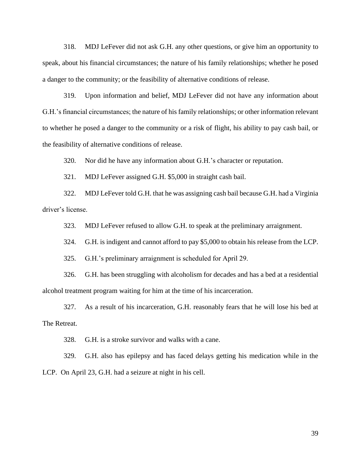318. MDJ LeFever did not ask G.H. any other questions, or give him an opportunity to speak, about his financial circumstances; the nature of his family relationships; whether he posed a danger to the community; or the feasibility of alternative conditions of release.

319. Upon information and belief, MDJ LeFever did not have any information about G.H.'s financial circumstances; the nature of his family relationships; or other information relevant to whether he posed a danger to the community or a risk of flight, his ability to pay cash bail, or the feasibility of alternative conditions of release.

320. Nor did he have any information about G.H.'s character or reputation.

321. MDJ LeFever assigned G.H. \$5,000 in straight cash bail.

322. MDJ LeFever told G.H. that he was assigning cash bail because G.H. had a Virginia driver's license.

323. MDJ LeFever refused to allow G.H. to speak at the preliminary arraignment.

324. G.H. is indigent and cannot afford to pay \$5,000 to obtain his release from the LCP.

325. G.H.'s preliminary arraignment is scheduled for April 29.

326. G.H. has been struggling with alcoholism for decades and has a bed at a residential alcohol treatment program waiting for him at the time of his incarceration.

327. As a result of his incarceration, G.H. reasonably fears that he will lose his bed at The Retreat.

328. G.H. is a stroke survivor and walks with a cane.

329. G.H. also has epilepsy and has faced delays getting his medication while in the LCP. On April 23, G.H. had a seizure at night in his cell.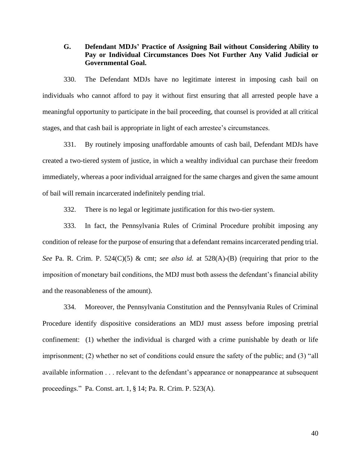## **G. Defendant MDJs' Practice of Assigning Bail without Considering Ability to Pay or Individual Circumstances Does Not Further Any Valid Judicial or Governmental Goal.**

330. The Defendant MDJs have no legitimate interest in imposing cash bail on individuals who cannot afford to pay it without first ensuring that all arrested people have a meaningful opportunity to participate in the bail proceeding, that counsel is provided at all critical stages, and that cash bail is appropriate in light of each arrestee's circumstances.

331. By routinely imposing unaffordable amounts of cash bail, Defendant MDJs have created a two-tiered system of justice, in which a wealthy individual can purchase their freedom immediately, whereas a poor individual arraigned for the same charges and given the same amount of bail will remain incarcerated indefinitely pending trial.

332. There is no legal or legitimate justification for this two-tier system.

333. In fact, the Pennsylvania Rules of Criminal Procedure prohibit imposing any condition of release for the purpose of ensuring that a defendant remains incarcerated pending trial. *See* Pa. R. Crim. P. 524(C)(5) & cmt; *see also id.* at 528(A)-(B) (requiring that prior to the imposition of monetary bail conditions, the MDJ must both assess the defendant's financial ability and the reasonableness of the amount).

334. Moreover, the Pennsylvania Constitution and the Pennsylvania Rules of Criminal Procedure identify dispositive considerations an MDJ must assess before imposing pretrial confinement: (1) whether the individual is charged with a crime punishable by death or life imprisonment; (2) whether no set of conditions could ensure the safety of the public; and (3) "all available information . . . relevant to the defendant's appearance or nonappearance at subsequent proceedings." Pa. Const. art. 1, § 14; Pa. R. Crim. P. 523(A).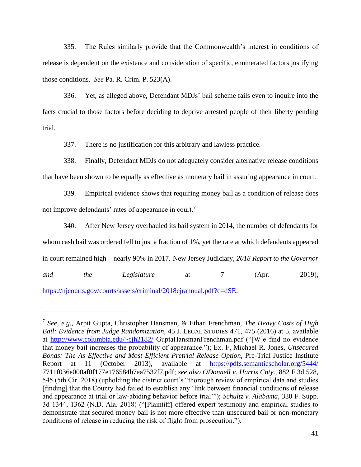335. The Rules similarly provide that the Commonwealth's interest in conditions of release is dependent on the existence and consideration of specific, enumerated factors justifying those conditions. *See* Pa. R. Crim. P. 523(A).

336. Yet, as alleged above, Defendant MDJs' bail scheme fails even to inquire into the facts crucial to those factors before deciding to deprive arrested people of their liberty pending trial.

337. There is no justification for this arbitrary and lawless practice.

338. Finally, Defendant MDJs do not adequately consider alternative release conditions that have been shown to be equally as effective as monetary bail in assuring appearance in court.

339. Empirical evidence shows that requiring money bail as a condition of release does not improve defendants' rates of appearance in court.<sup>7</sup>

340. After New Jersey overhauled its bail system in 2014, the number of defendants for whom cash bail was ordered fell to just a fraction of 1%, yet the rate at which defendants appeared in court remained high—nearly 90% in 2017. New Jersey Judiciary, *2018 Report to the Governor and the Legislature* at 7 (Apr. 2019), [https://njcourts.gov/courts/assets/criminal/2018cjrannual.pdf?c=dSE.](https://njcourts.gov/courts/assets/criminal/2018cjrannual.pdf?c=dSE)

<sup>7</sup> *See, e.g.,* Arpit Gupta, Christopher Hansman, & Ethan Frenchman, *The Heavy Costs of High Bail: Evidence from Judge Randomization*, 45 J. LEGAL STUDIES 471, 475 (2016) at 5, available at<http://www.columbia.edu/~cjh2182/> GuptaHansmanFrenchman.pdf ("[W]e find no evidence that money bail increases the probability of appearance."); Ex. F, Michael R. Jones, *Unsecured Bonds: The As Effective and Most Efficient Pretrial Release Option*, Pre-Trial Justice Institute Report at 11 (October 2013), available at <https://pdfs.semanticscholar.org/5444/> 7711f036e000af0f177e176584b7aa7532f7.pdf; *see also ODonnell v. Harris Cnty*., 882 F.3d 528, 545 (5th Cir. 2018) (upholding the district court's "thorough review of empirical data and studies [finding] that the County had failed to establish any 'link between financial conditions of release and appearance at trial or law-abiding behavior before trial'"); *Schultz v. Alabama*, 330 F. Supp. 3d 1344, 1362 (N.D. Ala. 2018) ("[Plaintiff] offered expert testimony and empirical studies to demonstrate that secured money bail is not more effective than unsecured bail or non-monetary conditions of release in reducing the risk of flight from prosecution.").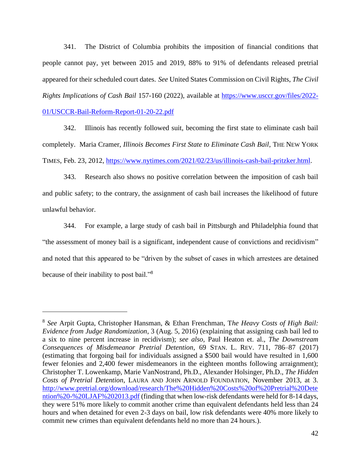341. The District of Columbia prohibits the imposition of financial conditions that people cannot pay, yet between 2015 and 2019, 88% to 91% of defendants released pretrial appeared for their scheduled court dates. *See* United States Commission on Civil Rights, *The Civil Rights Implications of Cash Bail* 157-160 (2022), available at [https://www.usccr.gov/files/2022-](https://www.usccr.gov/files/2022-01/USCCR-Bail-Reform-Report-01-20-22.pdf) [01/USCCR-Bail-Reform-Report-01-20-22.pdf](https://www.usccr.gov/files/2022-01/USCCR-Bail-Reform-Report-01-20-22.pdf)

342. Illinois has recently followed suit, becoming the first state to eliminate cash bail completely. Maria Cramer, *Illinois Becomes First State to Eliminate Cash Bail*, THE NEW YORK TIMES, Feb. 23, 2012, [https://www.nytimes.com/2021/02/23/us/illinois-cash-bail-pritzker.html.](https://www.nytimes.com/2021/02/23/us/illinois-cash-bail-pritzker.html)

343. Research also shows no positive correlation between the imposition of cash bail and public safety; to the contrary, the assignment of cash bail increases the likelihood of future unlawful behavior.

344. For example, a large study of cash bail in Pittsburgh and Philadelphia found that "the assessment of money bail is a significant, independent cause of convictions and recidivism" and noted that this appeared to be "driven by the subset of cases in which arrestees are detained because of their inability to post bail."<sup>8</sup>

<sup>8</sup> *See* Arpit Gupta, Christopher Hansman, & Ethan Frenchman, T*he Heavy Costs of High Bail: Evidence from Judge Randomization*, 3 (Aug. 5, 2016) (explaining that assigning cash bail led to a six to nine percent increase in recidivism); *see also,* Paul Heaton et. al., *The Downstream Consequences of Misdemeanor Pretrial Detention*, 69 STAN. L. REV. 711, 786–87 (2017) (estimating that forgoing bail for individuals assigned a \$500 bail would have resulted in 1,600 fewer felonies and 2,400 fewer misdemeanors in the eighteen months following arraignment); Christopher T. Lowenkamp, Marie VanNostrand, Ph.D., Alexander Holsinger, Ph.D., *The Hidden Costs of Pretrial Detention*, LAURA AND JOHN ARNOLD FOUNDATION, November 2013, at 3. [http://www.pretrial.org/download/research/The%20Hidden%20Costs%20of%20Pretrial%20Dete](http://www.pretrial.org/download/research/The%20Hidden%20Costs%20of%20Pretrial%20Detention%20-%20LJAF%202013.pdf) [ntion%20-%20LJAF%202013.pdf](http://www.pretrial.org/download/research/The%20Hidden%20Costs%20of%20Pretrial%20Detention%20-%20LJAF%202013.pdf) (finding that when low-risk defendants were held for 8-14 days, they were 51% more likely to commit another crime than equivalent defendants held less than 24 hours and when detained for even 2-3 days on bail, low risk defendants were 40% more likely to commit new crimes than equivalent defendants held no more than 24 hours.).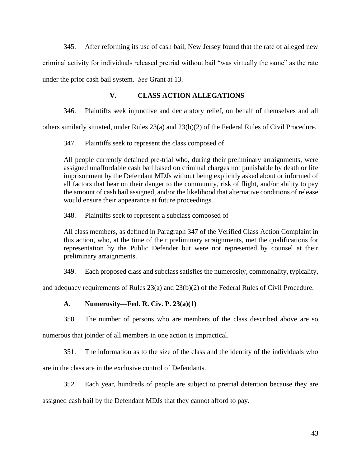345. After reforming its use of cash bail, New Jersey found that the rate of alleged new criminal activity for individuals released pretrial without bail "was virtually the same" as the rate under the prior cash bail system. *See* Grant at 13.

## **V. CLASS ACTION ALLEGATIONS**

346. Plaintiffs seek injunctive and declaratory relief, on behalf of themselves and all

others similarly situated, under Rules 23(a) and 23(b)(2) of the Federal Rules of Civil Procedure.

347. Plaintiffs seek to represent the class composed of

All people currently detained pre-trial who, during their preliminary arraignments, were assigned unaffordable cash bail based on criminal charges not punishable by death or life imprisonment by the Defendant MDJs without being explicitly asked about or informed of all factors that bear on their danger to the community, risk of flight, and/or ability to pay the amount of cash bail assigned, and/or the likelihood that alternative conditions of release would ensure their appearance at future proceedings.

348. Plaintiffs seek to represent a subclass composed of

All class members, as defined in Paragraph 347 of the Verified Class Action Complaint in this action, who, at the time of their preliminary arraignments, met the qualifications for representation by the Public Defender but were not represented by counsel at their preliminary arraignments.

349. Each proposed class and subclass satisfies the numerosity, commonality, typicality,

and adequacy requirements of Rules 23(a) and 23(b)(2) of the Federal Rules of Civil Procedure.

## **A. Numerosity—Fed. R. Civ. P. 23(a)(1)**

350. The number of persons who are members of the class described above are so

numerous that joinder of all members in one action is impractical.

351. The information as to the size of the class and the identity of the individuals who are in the class are in the exclusive control of Defendants.

352. Each year, hundreds of people are subject to pretrial detention because they are

assigned cash bail by the Defendant MDJs that they cannot afford to pay.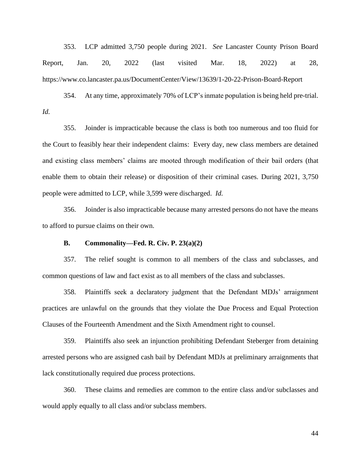353. LCP admitted 3,750 people during 2021. *See* Lancaster County Prison Board Report, Jan. 20, 2022 (last visited Mar. 18, 2022) at 28, https://www.co.lancaster.pa.us/DocumentCenter/View/13639/1-20-22-Prison-Board-Report

354. At any time, approximately 70% of LCP's inmate population is being held pre-trial. *Id.*

355. Joinder is impracticable because the class is both too numerous and too fluid for the Court to feasibly hear their independent claims: Every day, new class members are detained and existing class members' claims are mooted through modification of their bail orders (that enable them to obtain their release) or disposition of their criminal cases. During 2021, 3,750 people were admitted to LCP, while 3,599 were discharged. *Id.*

356. Joinder is also impracticable because many arrested persons do not have the means to afford to pursue claims on their own.

### **B. Commonality—Fed. R. Civ. P. 23(a)(2)**

357. The relief sought is common to all members of the class and subclasses, and common questions of law and fact exist as to all members of the class and subclasses.

358. Plaintiffs seek a declaratory judgment that the Defendant MDJs' arraignment practices are unlawful on the grounds that they violate the Due Process and Equal Protection Clauses of the Fourteenth Amendment and the Sixth Amendment right to counsel.

359. Plaintiffs also seek an injunction prohibiting Defendant Steberger from detaining arrested persons who are assigned cash bail by Defendant MDJs at preliminary arraignments that lack constitutionally required due process protections.

360. These claims and remedies are common to the entire class and/or subclasses and would apply equally to all class and/or subclass members.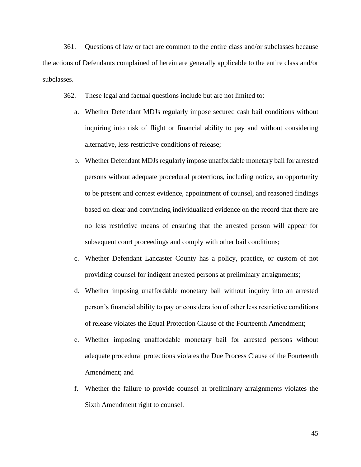361. Questions of law or fact are common to the entire class and/or subclasses because the actions of Defendants complained of herein are generally applicable to the entire class and/or subclasses.

- 362. These legal and factual questions include but are not limited to:
	- a. Whether Defendant MDJs regularly impose secured cash bail conditions without inquiring into risk of flight or financial ability to pay and without considering alternative, less restrictive conditions of release;
	- b. Whether Defendant MDJs regularly impose unaffordable monetary bail for arrested persons without adequate procedural protections, including notice, an opportunity to be present and contest evidence, appointment of counsel, and reasoned findings based on clear and convincing individualized evidence on the record that there are no less restrictive means of ensuring that the arrested person will appear for subsequent court proceedings and comply with other bail conditions;
	- c. Whether Defendant Lancaster County has a policy, practice, or custom of not providing counsel for indigent arrested persons at preliminary arraignments;
	- d. Whether imposing unaffordable monetary bail without inquiry into an arrested person's financial ability to pay or consideration of other less restrictive conditions of release violates the Equal Protection Clause of the Fourteenth Amendment;
	- e. Whether imposing unaffordable monetary bail for arrested persons without adequate procedural protections violates the Due Process Clause of the Fourteenth Amendment; and
	- f. Whether the failure to provide counsel at preliminary arraignments violates the Sixth Amendment right to counsel.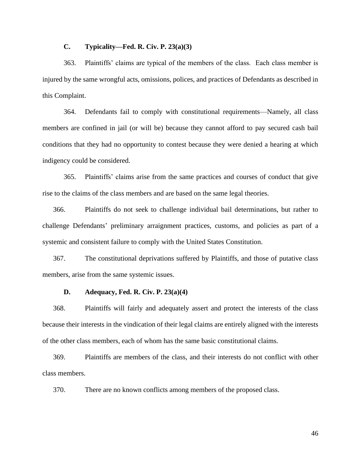### **C. Typicality—Fed. R. Civ. P. 23(a)(3)**

363. Plaintiffs' claims are typical of the members of the class. Each class member is injured by the same wrongful acts, omissions, polices, and practices of Defendants as described in this Complaint.

364. Defendants fail to comply with constitutional requirements—Namely, all class members are confined in jail (or will be) because they cannot afford to pay secured cash bail conditions that they had no opportunity to contest because they were denied a hearing at which indigency could be considered.

365. Plaintiffs' claims arise from the same practices and courses of conduct that give rise to the claims of the class members and are based on the same legal theories.

366. Plaintiffs do not seek to challenge individual bail determinations, but rather to challenge Defendants' preliminary arraignment practices, customs, and policies as part of a systemic and consistent failure to comply with the United States Constitution.

367. The constitutional deprivations suffered by Plaintiffs, and those of putative class members, arise from the same systemic issues.

#### **D. Adequacy, Fed. R. Civ. P. 23(a)(4)**

368. Plaintiffs will fairly and adequately assert and protect the interests of the class because their interests in the vindication of their legal claims are entirely aligned with the interests of the other class members, each of whom has the same basic constitutional claims.

369. Plaintiffs are members of the class, and their interests do not conflict with other class members.

370. There are no known conflicts among members of the proposed class.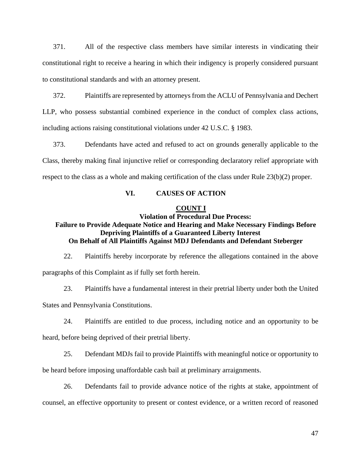371. All of the respective class members have similar interests in vindicating their constitutional right to receive a hearing in which their indigency is properly considered pursuant to constitutional standards and with an attorney present.

372. Plaintiffs are represented by attorneys from the ACLU of Pennsylvania and Dechert LLP, who possess substantial combined experience in the conduct of complex class actions, including actions raising constitutional violations under 42 U.S.C. § 1983.

373. Defendants have acted and refused to act on grounds generally applicable to the Class, thereby making final injunctive relief or corresponding declaratory relief appropriate with respect to the class as a whole and making certification of the class under Rule 23(b)(2) proper.

### **VI. CAUSES OF ACTION**

#### **COUNT I**

## **Violation of Procedural Due Process: Failure to Provide Adequate Notice and Hearing and Make Necessary Findings Before Depriving Plaintiffs of a Guaranteed Liberty Interest On Behalf of All Plaintiffs Against MDJ Defendants and Defendant Steberger**

22. Plaintiffs hereby incorporate by reference the allegations contained in the above paragraphs of this Complaint as if fully set forth herein.

23. Plaintiffs have a fundamental interest in their pretrial liberty under both the United

States and Pennsylvania Constitutions.

24. Plaintiffs are entitled to due process, including notice and an opportunity to be

heard, before being deprived of their pretrial liberty.

25. Defendant MDJs fail to provide Plaintiffs with meaningful notice or opportunity to

be heard before imposing unaffordable cash bail at preliminary arraignments.

26. Defendants fail to provide advance notice of the rights at stake, appointment of counsel, an effective opportunity to present or contest evidence, or a written record of reasoned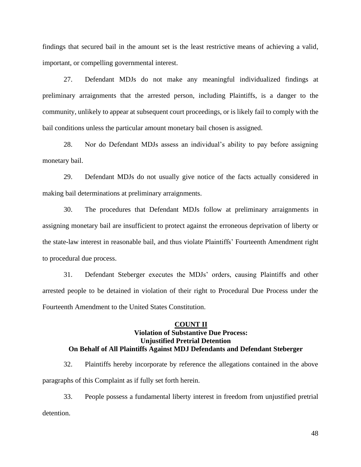findings that secured bail in the amount set is the least restrictive means of achieving a valid, important, or compelling governmental interest.

27. Defendant MDJs do not make any meaningful individualized findings at preliminary arraignments that the arrested person, including Plaintiffs, is a danger to the community, unlikely to appear at subsequent court proceedings, or is likely fail to comply with the bail conditions unless the particular amount monetary bail chosen is assigned.

28. Nor do Defendant MDJs assess an individual's ability to pay before assigning monetary bail.

29. Defendant MDJs do not usually give notice of the facts actually considered in making bail determinations at preliminary arraignments.

30. The procedures that Defendant MDJs follow at preliminary arraignments in assigning monetary bail are insufficient to protect against the erroneous deprivation of liberty or the state-law interest in reasonable bail, and thus violate Plaintiffs' Fourteenth Amendment right to procedural due process.

31. Defendant Steberger executes the MDJs' orders, causing Plaintiffs and other arrested people to be detained in violation of their right to Procedural Due Process under the Fourteenth Amendment to the United States Constitution.

### **COUNT II Violation of Substantive Due Process: Unjustified Pretrial Detention On Behalf of All Plaintiffs Against MDJ Defendants and Defendant Steberger**

32. Plaintiffs hereby incorporate by reference the allegations contained in the above paragraphs of this Complaint as if fully set forth herein.

33. People possess a fundamental liberty interest in freedom from unjustified pretrial detention.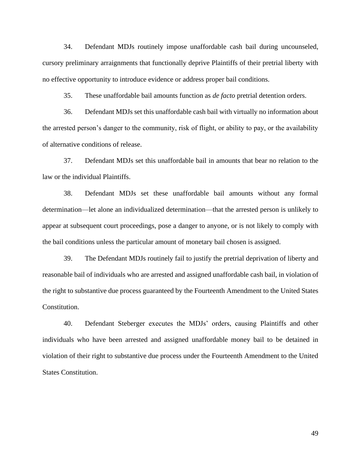34. Defendant MDJs routinely impose unaffordable cash bail during uncounseled, cursory preliminary arraignments that functionally deprive Plaintiffs of their pretrial liberty with no effective opportunity to introduce evidence or address proper bail conditions.

35. These unaffordable bail amounts function as *de facto* pretrial detention orders.

36. Defendant MDJs set this unaffordable cash bail with virtually no information about the arrested person's danger to the community, risk of flight, or ability to pay, or the availability of alternative conditions of release.

37. Defendant MDJs set this unaffordable bail in amounts that bear no relation to the law or the individual Plaintiffs.

38. Defendant MDJs set these unaffordable bail amounts without any formal determination—let alone an individualized determination—that the arrested person is unlikely to appear at subsequent court proceedings, pose a danger to anyone, or is not likely to comply with the bail conditions unless the particular amount of monetary bail chosen is assigned.

39. The Defendant MDJs routinely fail to justify the pretrial deprivation of liberty and reasonable bail of individuals who are arrested and assigned unaffordable cash bail, in violation of the right to substantive due process guaranteed by the Fourteenth Amendment to the United States Constitution.

40. Defendant Steberger executes the MDJs' orders, causing Plaintiffs and other individuals who have been arrested and assigned unaffordable money bail to be detained in violation of their right to substantive due process under the Fourteenth Amendment to the United States Constitution.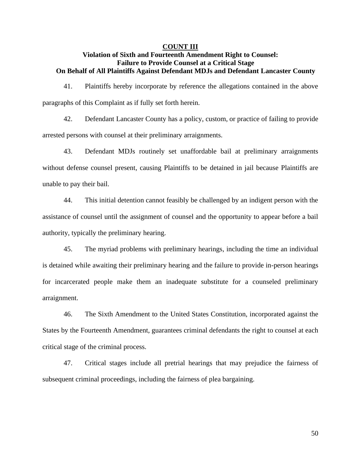### **COUNT III**

## **Violation of Sixth and Fourteenth Amendment Right to Counsel: Failure to Provide Counsel at a Critical Stage On Behalf of All Plaintiffs Against Defendant MDJs and Defendant Lancaster County**

41. Plaintiffs hereby incorporate by reference the allegations contained in the above paragraphs of this Complaint as if fully set forth herein.

42. Defendant Lancaster County has a policy, custom, or practice of failing to provide arrested persons with counsel at their preliminary arraignments.

43. Defendant MDJs routinely set unaffordable bail at preliminary arraignments without defense counsel present, causing Plaintiffs to be detained in jail because Plaintiffs are unable to pay their bail.

44. This initial detention cannot feasibly be challenged by an indigent person with the assistance of counsel until the assignment of counsel and the opportunity to appear before a bail authority, typically the preliminary hearing.

45. The myriad problems with preliminary hearings, including the time an individual is detained while awaiting their preliminary hearing and the failure to provide in-person hearings for incarcerated people make them an inadequate substitute for a counseled preliminary arraignment.

46. The Sixth Amendment to the United States Constitution, incorporated against the States by the Fourteenth Amendment, guarantees criminal defendants the right to counsel at each critical stage of the criminal process.

47. Critical stages include all pretrial hearings that may prejudice the fairness of subsequent criminal proceedings, including the fairness of plea bargaining.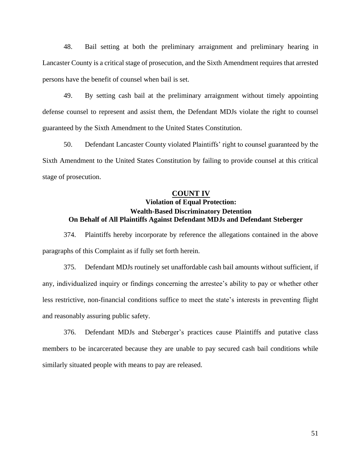48. Bail setting at both the preliminary arraignment and preliminary hearing in Lancaster County is a critical stage of prosecution, and the Sixth Amendment requires that arrested persons have the benefit of counsel when bail is set.

49. By setting cash bail at the preliminary arraignment without timely appointing defense counsel to represent and assist them, the Defendant MDJs violate the right to counsel guaranteed by the Sixth Amendment to the United States Constitution.

50. Defendant Lancaster County violated Plaintiffs' right to counsel guaranteed by the Sixth Amendment to the United States Constitution by failing to provide counsel at this critical stage of prosecution.

#### **COUNT IV**

# **Violation of Equal Protection: Wealth-Based Discriminatory Detention On Behalf of All Plaintiffs Against Defendant MDJs and Defendant Steberger**

374. Plaintiffs hereby incorporate by reference the allegations contained in the above paragraphs of this Complaint as if fully set forth herein.

375. Defendant MDJs routinely set unaffordable cash bail amounts without sufficient, if any, individualized inquiry or findings concerning the arrestee's ability to pay or whether other less restrictive, non-financial conditions suffice to meet the state's interests in preventing flight and reasonably assuring public safety.

376. Defendant MDJs and Steberger's practices cause Plaintiffs and putative class members to be incarcerated because they are unable to pay secured cash bail conditions while similarly situated people with means to pay are released.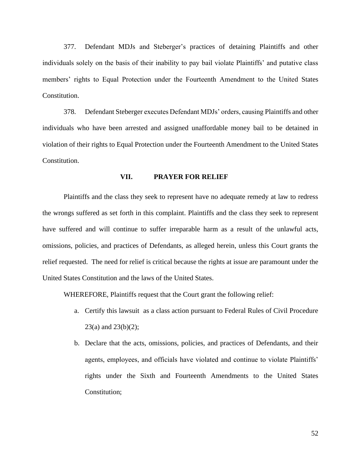377. Defendant MDJs and Steberger's practices of detaining Plaintiffs and other individuals solely on the basis of their inability to pay bail violate Plaintiffs' and putative class members' rights to Equal Protection under the Fourteenth Amendment to the United States Constitution.

378. Defendant Steberger executes Defendant MDJs' orders, causing Plaintiffs and other individuals who have been arrested and assigned unaffordable money bail to be detained in violation of their rights to Equal Protection under the Fourteenth Amendment to the United States Constitution.

#### **VII. PRAYER FOR RELIEF**

Plaintiffs and the class they seek to represent have no adequate remedy at law to redress the wrongs suffered as set forth in this complaint. Plaintiffs and the class they seek to represent have suffered and will continue to suffer irreparable harm as a result of the unlawful acts, omissions, policies, and practices of Defendants, as alleged herein, unless this Court grants the relief requested. The need for relief is critical because the rights at issue are paramount under the United States Constitution and the laws of the United States.

WHEREFORE, Plaintiffs request that the Court grant the following relief:

- a. Certify this lawsuit as a class action pursuant to Federal Rules of Civil Procedure  $23(a)$  and  $23(b)(2)$ ;
- b. Declare that the acts, omissions, policies, and practices of Defendants, and their agents, employees, and officials have violated and continue to violate Plaintiffs' rights under the Sixth and Fourteenth Amendments to the United States Constitution;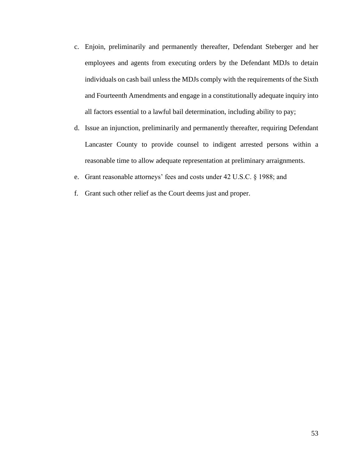- c. Enjoin, preliminarily and permanently thereafter, Defendant Steberger and her employees and agents from executing orders by the Defendant MDJs to detain individuals on cash bail unless the MDJs comply with the requirements of the Sixth and Fourteenth Amendments and engage in a constitutionally adequate inquiry into all factors essential to a lawful bail determination, including ability to pay;
- d. Issue an injunction, preliminarily and permanently thereafter, requiring Defendant Lancaster County to provide counsel to indigent arrested persons within a reasonable time to allow adequate representation at preliminary arraignments.
- e. Grant reasonable attorneys' fees and costs under 42 U.S.C. § 1988; and
- f. Grant such other relief as the Court deems just and proper.